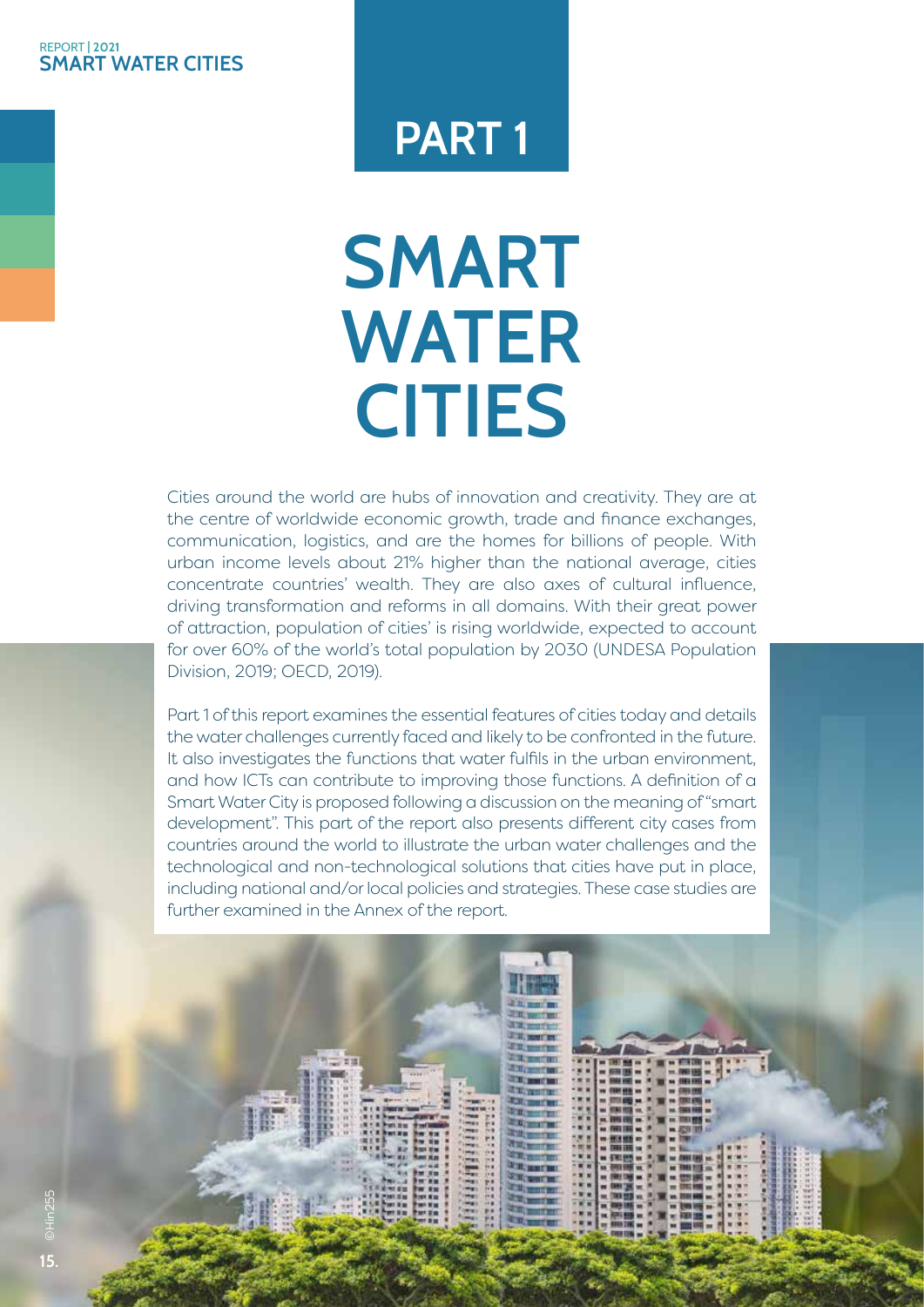#### **SMART WATER CITIES** REPORT **| 2021**

# **PART 1**

# **SMART WATER CITIES**

Cities around the world are hubs of innovation and creativity. They are at the centre of worldwide economic growth, trade and finance exchanges, communication, logistics, and are the homes for billions of people. With urban income levels about 21% higher than the national average, cities concentrate countries' wealth. They are also axes of cultural influence, driving transformation and reforms in all domains. With their great power of attraction, population of cities' is rising worldwide, expected to account for over 60% of the world's total population by 2030 (UNDESA Population Division, 2019; OECD, 2019).

Part 1 of this report examines the essential features of cities today and details the water challenges currently faced and likely to be confronted in the future. It also investigates the functions that water fulfils in the urban environment, and how ICTs can contribute to improving those functions. A definition of a Smart Water City is proposed following a discussion on the meaning of "smart development". This part of the report also presents different city cases from countries around the world to illustrate the urban water challenges and the technological and non-technological solutions that cities have put in place, including national and/or local policies and strategies. These case studies are further examined in the Annex of the report.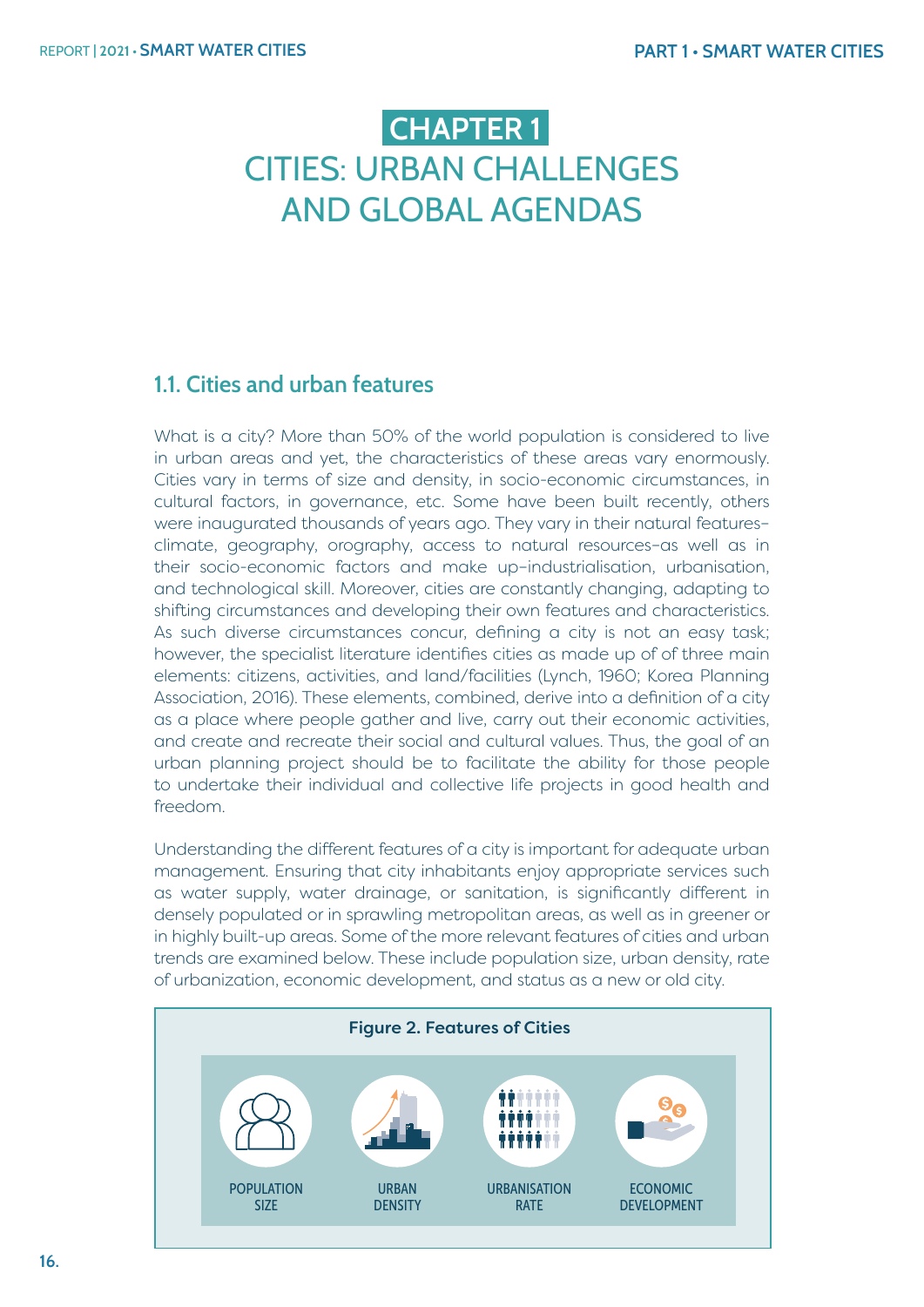# **CHAPTER 1**  CITIES: URBAN CHALLENGES AND GLOBAL AGENDAS

# **1.1. Cities and urban features**

What is a city? More than 50% of the world population is considered to live in urban areas and yet, the characteristics of these areas vary enormously. Cities vary in terms of size and density, in socio-economic circumstances, in cultural factors, in governance, etc. Some have been built recently, others were inaugurated thousands of years ago. They vary in their natural features– climate, geography, orography, access to natural resources–as well as in their socio-economic factors and make up–industrialisation, urbanisation, and technological skill. Moreover, cities are constantly changing, adapting to shifting circumstances and developing their own features and characteristics. As such diverse circumstances concur, defining a city is not an easy task; however, the specialist literature identifies cities as made up of of three main elements: citizens, activities, and land/facilities (Lynch, 1960; Korea Planning Association, 2016). These elements, combined, derive into a definition of a city as a place where people gather and live, carry out their economic activities, and create and recreate their social and cultural values. Thus, the goal of an urban planning project should be to facilitate the ability for those people to undertake their individual and collective life projects in good health and freedom.

Understanding the different features of a city is important for adequate urban management. Ensuring that city inhabitants enjoy appropriate services such as water supply, water drainage, or sanitation, is significantly different in densely populated or in sprawling metropolitan areas, as well as in greener or in highly built-up areas. Some of the more relevant features of cities and urban trends are examined below. These include population size, urban density, rate of urbanization, economic development, and status as a new or old city.

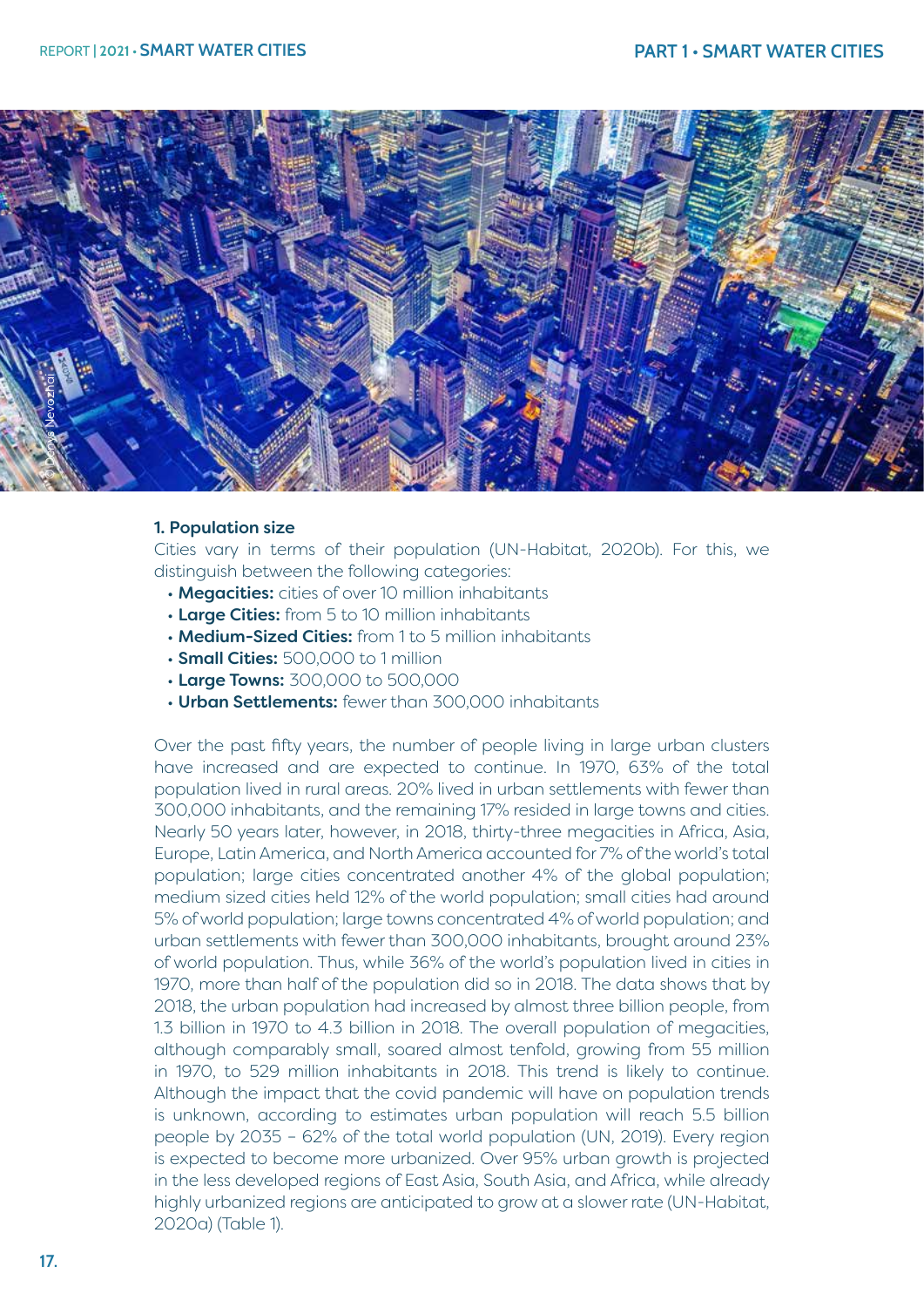

#### 1. Population size

Cities vary in terms of their population (UN-Habitat, 2020b). For this, we distinguish between the following categories:

- Megacities: cities of over 10 million inhabitants
- Large Cities: from 5 to 10 million inhabitants
- Medium-Sized Cities: from 1 to 5 million inhabitants
- **Small Cities:** 500,000 to 1 million
- Large Towns: 300,000 to 500,000
- Urban Settlements: fewer than 300,000 inhabitants

Over the past fifty years, the number of people living in large urban clusters have increased and are expected to continue. In 1970, 63% of the total population lived in rural areas. 20% lived in urban settlements with fewer than 300,000 inhabitants, and the remaining 17% resided in large towns and cities. Nearly 50 years later, however, in 2018, thirty-three megacities in Africa, Asia, Europe, Latin America, and North America accounted for 7% of the world's total population; large cities concentrated another 4% of the global population; medium sized cities held 12% of the world population; small cities had around 5% of world population; large towns concentrated 4% of world population; and urban settlements with fewer than 300,000 inhabitants, brought around 23% of world population. Thus, while 36% of the world's population lived in cities in 1970, more than half of the population did so in 2018. The data shows that by 2018, the urban population had increased by almost three billion people, from 1.3 billion in 1970 to 4.3 billion in 2018. The overall population of megacities, although comparably small, soared almost tenfold, growing from 55 million in 1970, to 529 million inhabitants in 2018. This trend is likely to continue. Although the impact that the covid pandemic will have on population trends is unknown, according to estimates urban population will reach 5.5 billion people by 2035 – 62% of the total world population (UN, 2019). Every region is expected to become more urbanized. Over 95% urban growth is projected in the less developed regions of East Asia, South Asia, and Africa, while already highly urbanized regions are anticipated to grow at a slower rate (UN-Habitat, 2020a) (Table 1).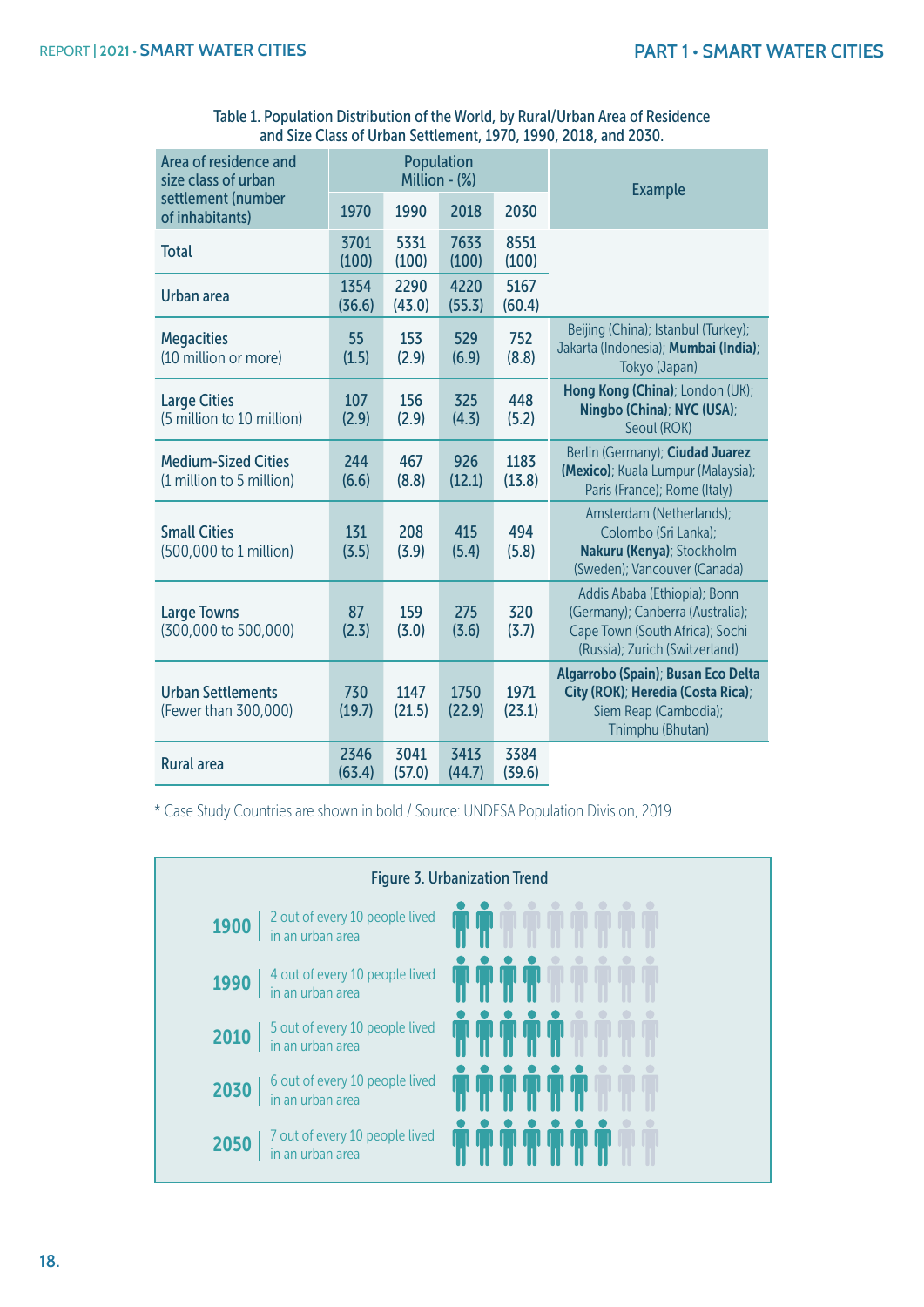| Area of residence and<br>size class of urban           | <b>Population</b><br>Million - (%) |                |                |                | <b>Example</b>                                                                                                                        |  |
|--------------------------------------------------------|------------------------------------|----------------|----------------|----------------|---------------------------------------------------------------------------------------------------------------------------------------|--|
| settlement (number<br>of inhabitants)                  | 1970                               | 1990           | 2018           | 2030           |                                                                                                                                       |  |
| <b>Total</b>                                           | 3701<br>(100)                      | 5331<br>(100)  | 7633<br>(100)  | 8551<br>(100)  |                                                                                                                                       |  |
| Urban area                                             | 1354<br>(36.6)                     | 2290<br>(43.0) | 4220<br>(55.3) | 5167<br>(60.4) |                                                                                                                                       |  |
| <b>Megacities</b><br>(10 million or more)              | 55<br>(1.5)                        | 153<br>(2.9)   | 529<br>(6.9)   | 752<br>(8.8)   | Beijing (China); Istanbul (Turkey);<br>Jakarta (Indonesia); Mumbai (India);<br>Tokyo (Japan)                                          |  |
| <b>Large Cities</b><br>(5 million to 10 million)       | 107<br>(2.9)                       | 156<br>(2.9)   | 325<br>(4.3)   | 448<br>(5.2)   | Hong Kong (China); London (UK);<br>Ningbo (China); NYC (USA);<br>Seoul (ROK)                                                          |  |
| <b>Medium-Sized Cities</b><br>(1 million to 5 million) | 244<br>(6.6)                       | 467<br>(8.8)   | 926<br>(12.1)  | 1183<br>(13.8) | Berlin (Germany); Ciudad Juarez<br>(Mexico); Kuala Lumpur (Malaysia);<br>Paris (France); Rome (Italy)                                 |  |
| <b>Small Cities</b><br>(500,000 to 1 million)          | 131<br>(3.5)                       | 208<br>(3.9)   | 415<br>(5.4)   | 494<br>(5.8)   | Amsterdam (Netherlands);<br>Colombo (Sri Lanka);<br>Nakuru (Kenya); Stockholm<br>(Sweden); Vancouver (Canada)                         |  |
| <b>Large Towns</b><br>(300,000 to 500,000)             | 87<br>(2.3)                        | 159<br>(3.0)   | 275<br>(3.6)   | 320<br>(3.7)   | Addis Ababa (Ethiopia); Bonn<br>(Germany); Canberra (Australia);<br>Cape Town (South Africa); Sochi<br>(Russia); Zurich (Switzerland) |  |
| <b>Urban Settlements</b><br>(Fewer than 300,000)       | 730<br>(19.7)                      | 1147<br>(21.5) | 1750<br>(22.9) | 1971<br>(23.1) | Algarrobo (Spain); Busan Eco Delta<br>City (ROK); Heredia (Costa Rica);<br>Siem Reap (Cambodia);<br>Thimphu (Bhutan)                  |  |
| <b>Rural area</b>                                      | 2346<br>(63.4)                     | 3041<br>(57.0) | 3413<br>(44.7) | 3384<br>(39.6) |                                                                                                                                       |  |

Table 1. Population Distribution of the World, by Rural/Urban Area of Residence and Size Class of Urban Settlement, 1970, 1990, 2018, and 2030.

\* Case Study Countries are shown in bold / Source: UNDESA Population Division, 2019

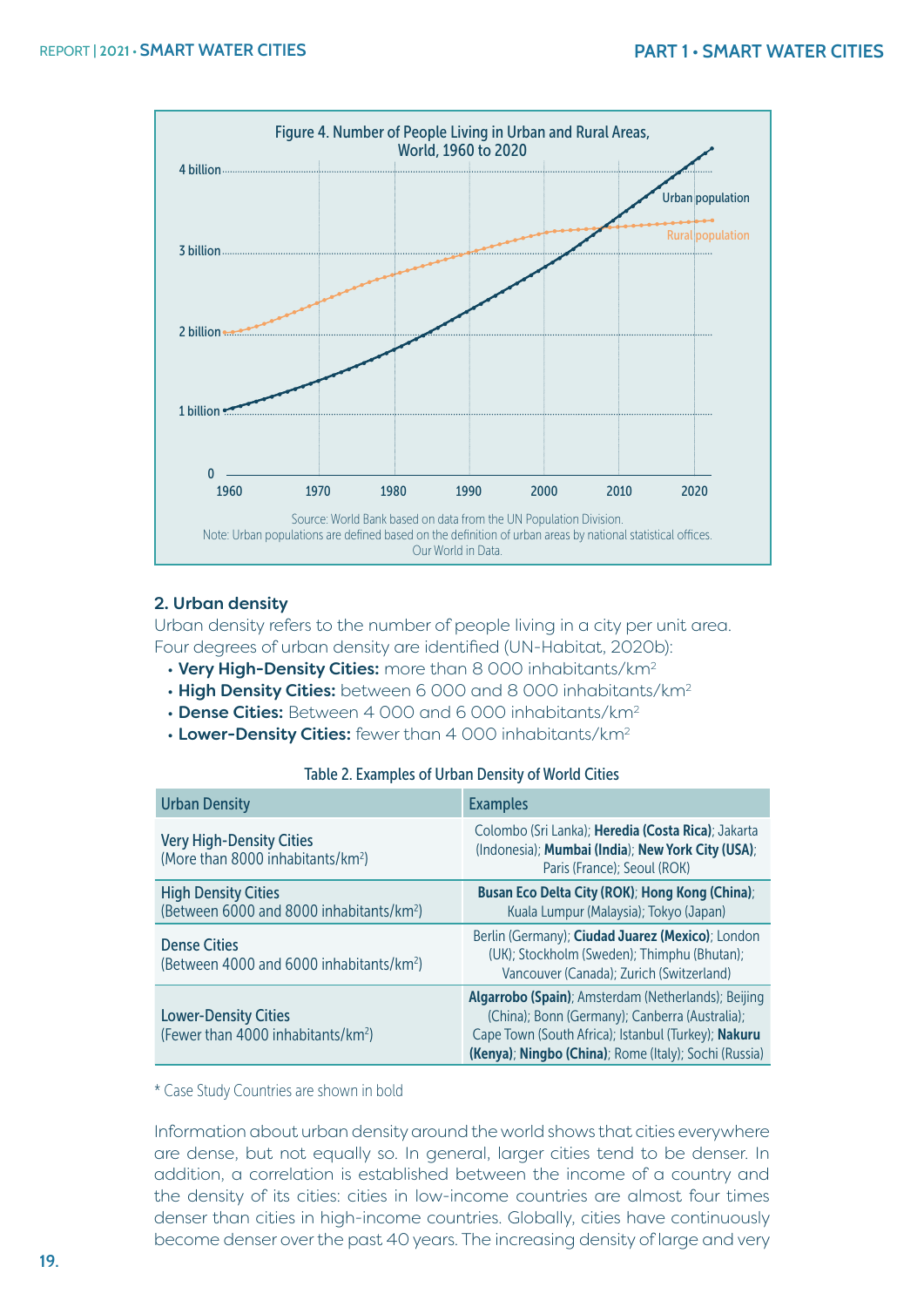

#### 2. Urban density

Urban density refers to the number of people living in a city per unit area. Four degrees of urban density are identified (UN-Habitat, 2020b):

- Very High-Density Cities: more than 8 000 inhabitants/km<sup>2</sup>
- High Density Cities: between 6 000 and 8 000 inhabitants/km<sup>2</sup>
- Dense Cities: Between 4 000 and 6 000 inhabitants/km<sup>2</sup>
- Lower-Density Cities: fewer than 4 000 inhabitants/km<sup>2</sup>

#### Table 2. Examples of Urban Density of World Cities

| <b>Urban Density</b>                                                               | <b>Examples</b>                                                                                                                                                                                                       |
|------------------------------------------------------------------------------------|-----------------------------------------------------------------------------------------------------------------------------------------------------------------------------------------------------------------------|
| <b>Very High-Density Cities</b><br>(More than 8000 inhabitants/km <sup>2</sup> )   | Colombo (Sri Lanka); Heredia (Costa Rica); Jakarta<br>(Indonesia); Mumbai (India); New York City (USA);<br>Paris (France); Seoul (ROK)                                                                                |
| <b>High Density Cities</b><br>(Between 6000 and 8000 inhabitants/km <sup>2</sup> ) | Busan Eco Delta City (ROK); Hong Kong (China);<br>Kuala Lumpur (Malaysia); Tokyo (Japan)                                                                                                                              |
| <b>Dense Cities</b><br>(Between 4000 and 6000 inhabitants/km <sup>2</sup> )        | Berlin (Germany); Ciudad Juarez (Mexico); London<br>(UK); Stockholm (Sweden); Thimphu (Bhutan);<br>Vancouver (Canada); Zurich (Switzerland)                                                                           |
| <b>Lower-Density Cities</b><br>(Fewer than 4000 inhabitants/km <sup>2</sup> )      | Algarrobo (Spain); Amsterdam (Netherlands); Beijing<br>(China); Bonn (Germany); Canberra (Australia);<br>Cape Town (South Africa); Istanbul (Turkey); Nakuru<br>(Kenya); Ningbo (China); Rome (Italy); Sochi (Russia) |

\* Case Study Countries are shown in bold

Information about urban density around the world shows that cities everywhere are dense, but not equally so. In general, larger cities tend to be denser. In addition, a correlation is established between the income of a country and the density of its cities: cities in low-income countries are almost four times denser than cities in high-income countries. Globally, cities have continuously become denser over the past 40 years. The increasing density of large and very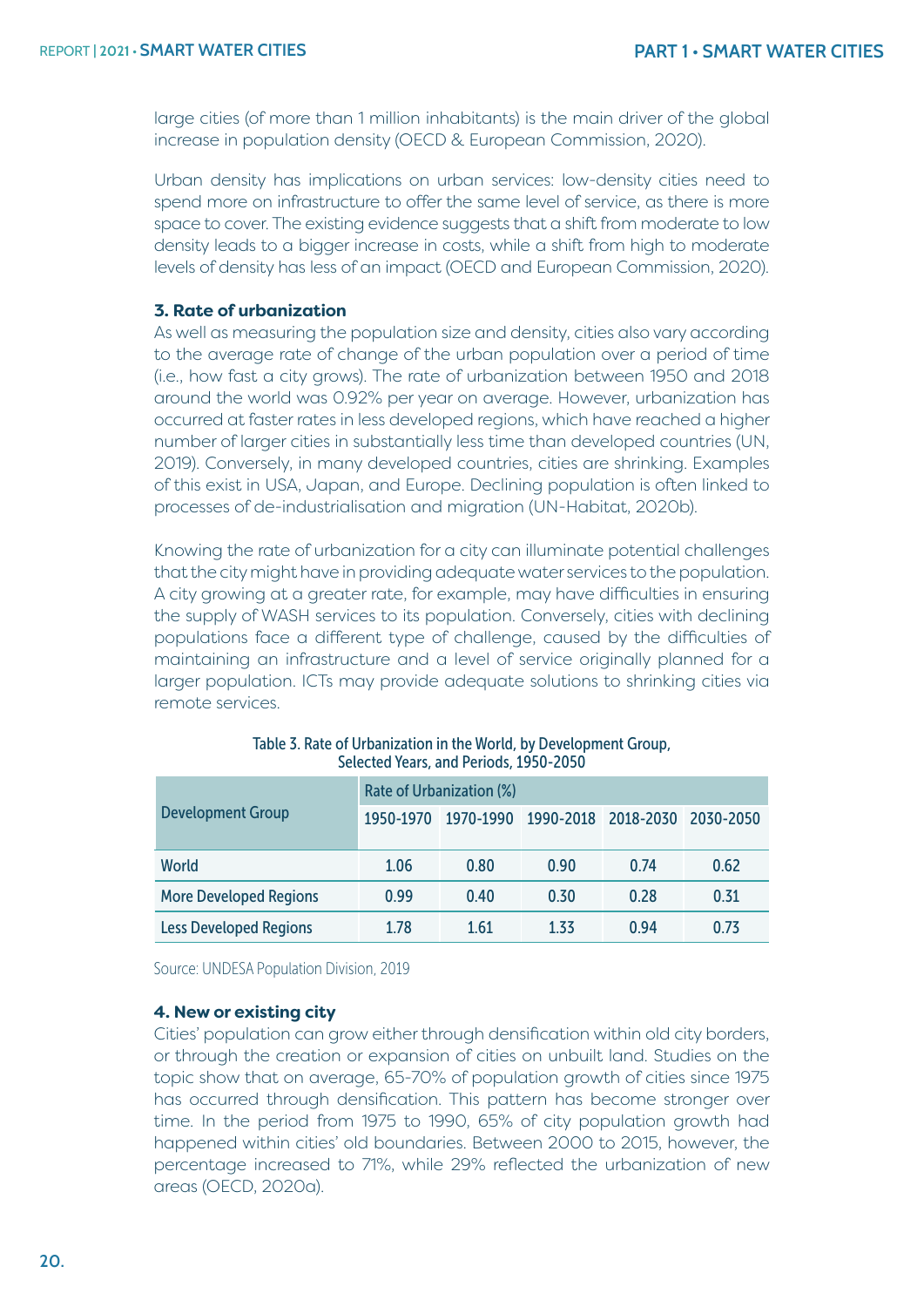large cities (of more than 1 million inhabitants) is the main driver of the global increase in population density (OECD & European Commission, 2020).

Urban density has implications on urban services: low-density cities need to spend more on infrastructure to offer the same level of service, as there is more space to cover. The existing evidence suggests that a shift from moderate to low density leads to a bigger increase in costs, while a shift from high to moderate levels of density has less of an impact (OECD and European Commission, 2020).

#### **3. Rate of urbanization**

As well as measuring the population size and density, cities also vary according to the average rate of change of the urban population over a period of time (i.e., how fast a city grows). The rate of urbanization between 1950 and 2018 around the world was 0.92% per year on average. However, urbanization has occurred at faster rates in less developed regions, which have reached a higher number of larger cities in substantially less time than developed countries (UN, 2019). Conversely, in many developed countries, cities are shrinking. Examples of this exist in USA, Japan, and Europe. Declining population is often linked to processes of de-industrialisation and migration (UN-Habitat, 2020b).

Knowing the rate of urbanization for a city can illuminate potential challenges that the city might have in providing adequate water services to the population. A city growing at a greater rate, for example, may have difficulties in ensuring the supply of WASH services to its population. Conversely, cities with declining populations face a different type of challenge, caused by the difficulties of maintaining an infrastructure and a level of service originally planned for a larger population. ICTs may provide adequate solutions to shrinking cities via remote services.

|                               | Rate of Urbanization (%) |           |      |                               |      |  |  |
|-------------------------------|--------------------------|-----------|------|-------------------------------|------|--|--|
| <b>Development Group</b>      | 1950-1970                | 1970-1990 |      | 1990-2018 2018-2030 2030-2050 |      |  |  |
| World                         | 1.06                     | 0.80      | 0.90 | 0.74                          | 0.62 |  |  |
| <b>More Developed Regions</b> | 0.99                     | 0.40      | 0.30 | 0.28                          | 0.31 |  |  |
| <b>Less Developed Regions</b> | 1.78                     | 1.61      | 1 33 | 0.94                          | 0.73 |  |  |

| Table 3. Rate of Urbanization in the World, by Development Group, |
|-------------------------------------------------------------------|
| Selected Years, and Periods, 1950-2050                            |

Source: UNDESA Population Division, 2019

#### **4. New or existing city**

Cities' population can grow either through densification within old city borders, or through the creation or expansion of cities on unbuilt land. Studies on the topic show that on average, 65-70% of population growth of cities since 1975 has occurred through densification. This pattern has become stronger over time. In the period from 1975 to 1990, 65% of city population growth had happened within cities' old boundaries. Between 2000 to 2015, however, the percentage increased to 71%, while 29% reflected the urbanization of new areas (OECD, 2020a).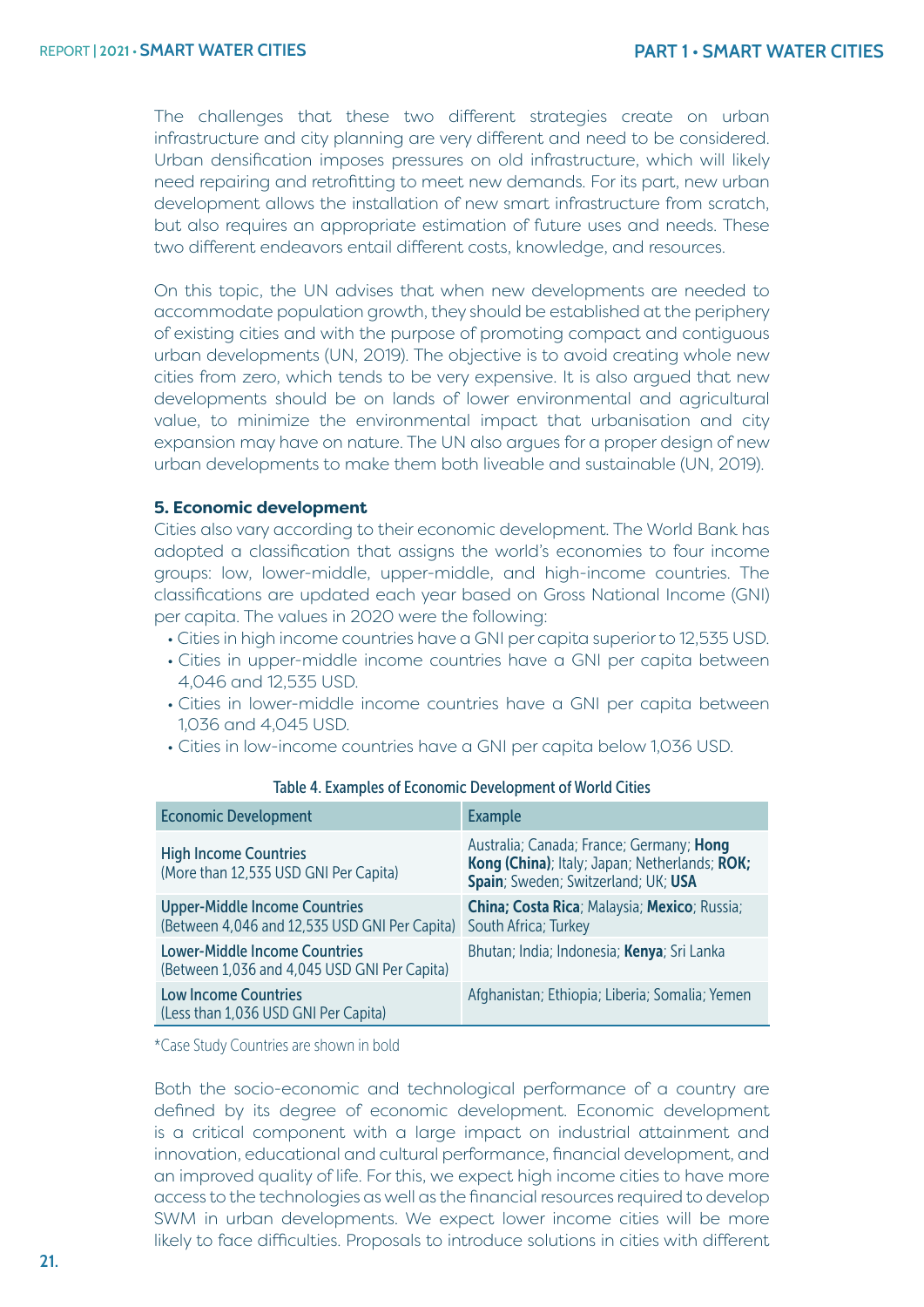The challenges that these two different strategies create on urban infrastructure and city planning are very different and need to be considered. Urban densification imposes pressures on old infrastructure, which will likely need repairing and retrofitting to meet new demands. For its part, new urban development allows the installation of new smart infrastructure from scratch, but also requires an appropriate estimation of future uses and needs. These two different endeavors entail different costs, knowledge, and resources.

On this topic, the UN advises that when new developments are needed to accommodate population growth, they should be established at the periphery of existing cities and with the purpose of promoting compact and contiguous urban developments (UN, 2019). The objective is to avoid creating whole new cities from zero, which tends to be very expensive. It is also argued that new developments should be on lands of lower environmental and agricultural value, to minimize the environmental impact that urbanisation and city expansion may have on nature. The UN also argues for a proper design of new urban developments to make them both liveable and sustainable (UN, 2019).

#### **5. Economic development**

Cities also vary according to their economic development. The World Bank has adopted a classification that assigns the world's economies to four income groups: low, lower-middle, upper-middle, and high-income countries. The classifications are updated each year based on Gross National Income (GNI) per capita. The values in 2020 were the following:

- Cities in high income countries have a GNI per capita superior to 12,535 USD.
- Cities in upper-middle income countries have a GNI per capita between 4,046 and 12,535 USD.
- Cities in lower-middle income countries have a GNI per capita between 1,036 and 4,045 USD.
- Cities in low-income countries have a GNI per capita below 1,036 USD.

| <b>Economic Development</b>                                                           | <b>Example</b>                                                                                                                   |
|---------------------------------------------------------------------------------------|----------------------------------------------------------------------------------------------------------------------------------|
| <b>High Income Countries</b><br>(More than 12,535 USD GNI Per Capita)                 | Australia; Canada; France; Germany; Hong<br>Kong (China); Italy; Japan; Netherlands; ROK;<br>Spain; Sweden; Switzerland; UK; USA |
| <b>Upper-Middle Income Countries</b><br>(Between 4,046 and 12,535 USD GNI Per Capita) | China; Costa Rica; Malaysia; Mexico; Russia;<br>South Africa; Turkey                                                             |
| <b>Lower-Middle Income Countries</b><br>(Between 1,036 and 4,045 USD GNI Per Capita)  | Bhutan; India; Indonesia; Kenya; Sri Lanka                                                                                       |
| <b>Low Income Countries</b><br>(Less than 1,036 USD GNI Per Capita)                   | Afghanistan; Ethiopia; Liberia; Somalia; Yemen                                                                                   |

#### Table 4. Examples of Economic Development of World Cities

\*Case Study Countries are shown in bold

Both the socio-economic and technological performance of a country are defined by its degree of economic development. Economic development is a critical component with a large impact on industrial attainment and innovation, educational and cultural performance, financial development, and an improved quality of life. For this, we expect high income cities to have more access to the technologies as well as the financial resources required to develop SWM in urban developments. We expect lower income cities will be more likely to face difficulties. Proposals to introduce solutions in cities with different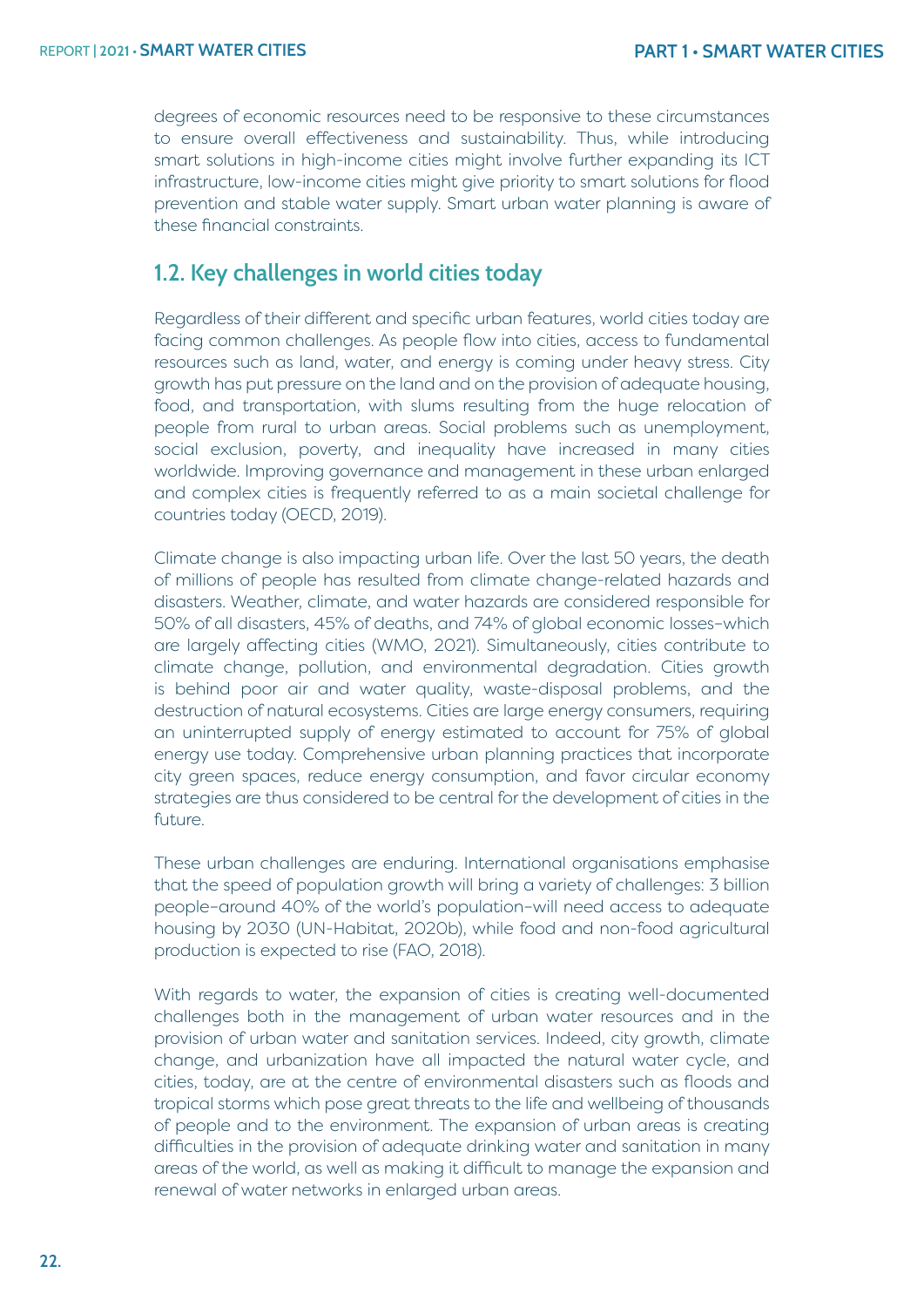degrees of economic resources need to be responsive to these circumstances to ensure overall effectiveness and sustainability. Thus, while introducing smart solutions in high-income cities might involve further expanding its ICT infrastructure, low-income cities might give priority to smart solutions for flood prevention and stable water supply. Smart urban water planning is aware of these financial constraints.

## **1.2. Key challenges in world cities today**

Regardless of their different and specific urban features, world cities today are facing common challenges. As people flow into cities, access to fundamental resources such as land, water, and energy is coming under heavy stress. City growth has put pressure on the land and on the provision of adequate housing, food, and transportation, with slums resulting from the huge relocation of people from rural to urban areas. Social problems such as unemployment, social exclusion, poverty, and inequality have increased in many cities worldwide. Improving governance and management in these urban enlarged and complex cities is frequently referred to as a main societal challenge for countries today (OECD, 2019).

Climate change is also impacting urban life. Over the last 50 years, the death of millions of people has resulted from climate change-related hazards and disasters. Weather, climate, and water hazards are considered responsible for 50% of all disasters, 45% of deaths, and 74% of global economic losses–which are largely affecting cities (WMO, 2021). Simultaneously, cities contribute to climate change, pollution, and environmental degradation. Cities growth is behind poor air and water quality, waste-disposal problems, and the destruction of natural ecosystems. Cities are large energy consumers, requiring an uninterrupted supply of energy estimated to account for 75% of global energy use today. Comprehensive urban planning practices that incorporate city green spaces, reduce energy consumption, and favor circular economy strategies are thus considered to be central for the development of cities in the future.

These urban challenges are enduring. International organisations emphasise that the speed of population growth will bring a variety of challenges: 3 billion people–around 40% of the world's population–will need access to adequate housing by 2030 (UN-Habitat, 2020b), while food and non-food agricultural production is expected to rise (FAO, 2018).

With regards to water, the expansion of cities is creating well-documented challenges both in the management of urban water resources and in the provision of urban water and sanitation services. Indeed, city growth, climate change, and urbanization have all impacted the natural water cycle, and cities, today, are at the centre of environmental disasters such as floods and tropical storms which pose great threats to the life and wellbeing of thousands of people and to the environment. The expansion of urban areas is creating difficulties in the provision of adequate drinking water and sanitation in many areas of the world, as well as making it difficult to manage the expansion and renewal of water networks in enlarged urban areas.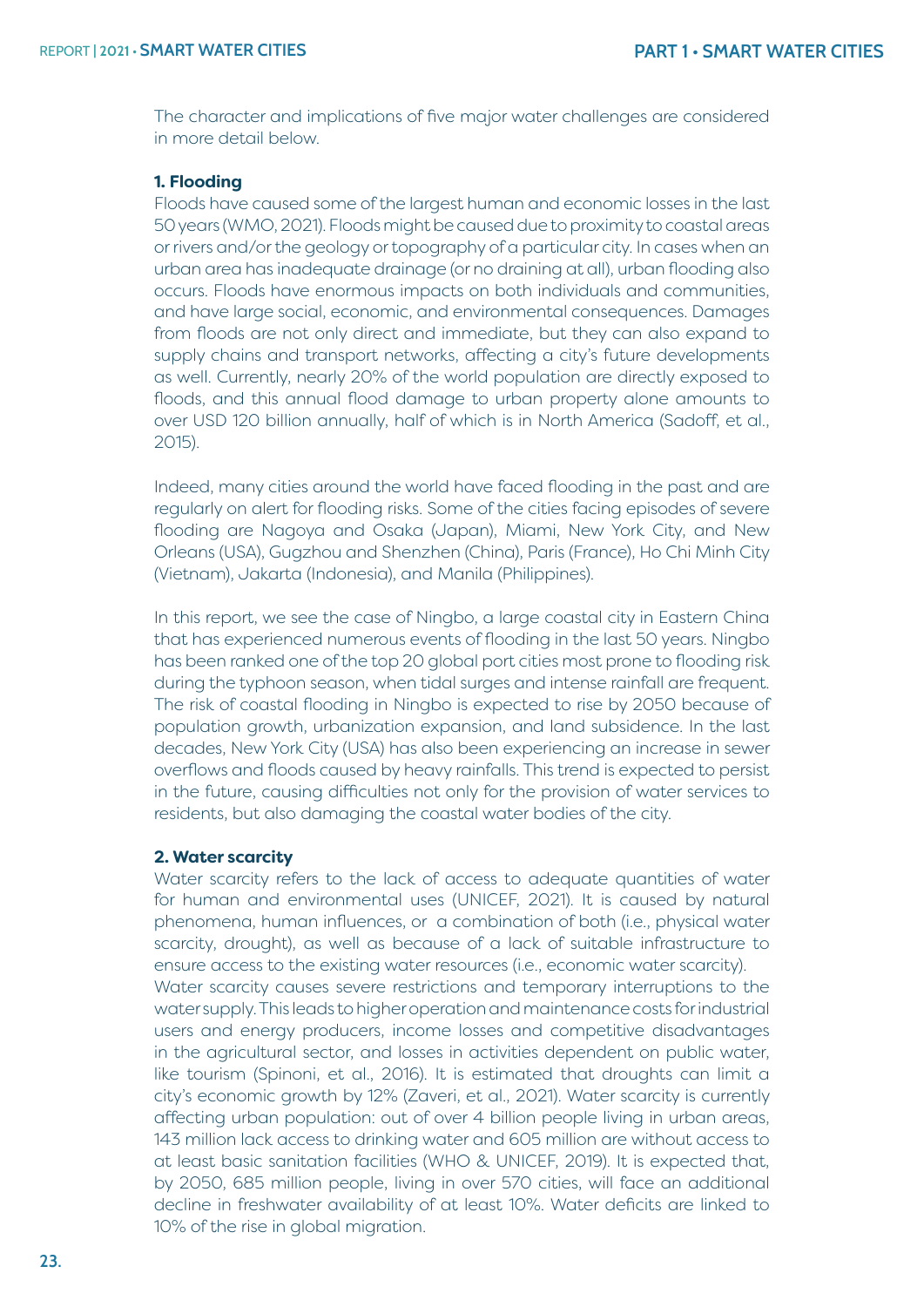The character and implications of five major water challenges are considered in more detail below.

#### **1. Flooding**

Floods have caused some of the largest human and economic losses in the last 50 years (WMO, 2021). Floods might be caused due to proximity to coastal areas or rivers and/or the geology or topography of a particular city. In cases when an urban area has inadequate drainage (or no draining at all), urban flooding also occurs. Floods have enormous impacts on both individuals and communities, and have large social, economic, and environmental consequences. Damages from floods are not only direct and immediate, but they can also expand to supply chains and transport networks, affecting a city's future developments as well. Currently, nearly 20% of the world population are directly exposed to floods, and this annual flood damage to urban property alone amounts to over USD 120 billion annually, half of which is in North America (Sadoff, et al., 2015).

Indeed, many cities around the world have faced flooding in the past and are regularly on alert for flooding risks. Some of the cities facing episodes of severe flooding are Nagoya and Osaka (Japan), Miami, New York City, and New Orleans (USA), Gugzhou and Shenzhen (China), Paris (France), Ho Chi Minh City (Vietnam), Jakarta (Indonesia), and Manila (Philippines).

In this report, we see the case of Ningbo, a large coastal city in Eastern China that has experienced numerous events of flooding in the last 50 years. Ningbo has been ranked one of the top 20 global port cities most prone to flooding risk during the typhoon season, when tidal surges and intense rainfall are frequent. The risk of coastal flooding in Ningbo is expected to rise by 2050 because of population growth, urbanization expansion, and land subsidence. In the last decades, New York City (USA) has also been experiencing an increase in sewer overflows and floods caused by heavy rainfalls. This trend is expected to persist in the future, causing difficulties not only for the provision of water services to residents, but also damaging the coastal water bodies of the city.

#### **2. Water scarcity**

Water scarcity refers to the lack of access to adequate quantities of water for human and environmental uses (UNICEF, 2021). It is caused by natural phenomena, human influences, or a combination of both (i.e., physical water scarcity, drought), as well as because of a lack of suitable infrastructure to ensure access to the existing water resources (i.e., economic water scarcity). Water scarcity causes severe restrictions and temporary interruptions to the water supply. This leads to higher operation and maintenance costs for industrial users and energy producers, income losses and competitive disadvantages in the agricultural sector, and losses in activities dependent on public water, like tourism (Spinoni, et al., 2016). It is estimated that droughts can limit a city's economic growth by 12% (Zaveri, et al., 2021). Water scarcity is currently affecting urban population: out of over 4 billion people living in urban areas, 143 million lack access to drinking water and 605 million are without access to at least basic sanitation facilities (WHO & UNICEF, 2019). It is expected that, by 2050, 685 million people, living in over 570 cities, will face an additional decline in freshwater availability of at least 10%. Water deficits are linked to 10% of the rise in global migration.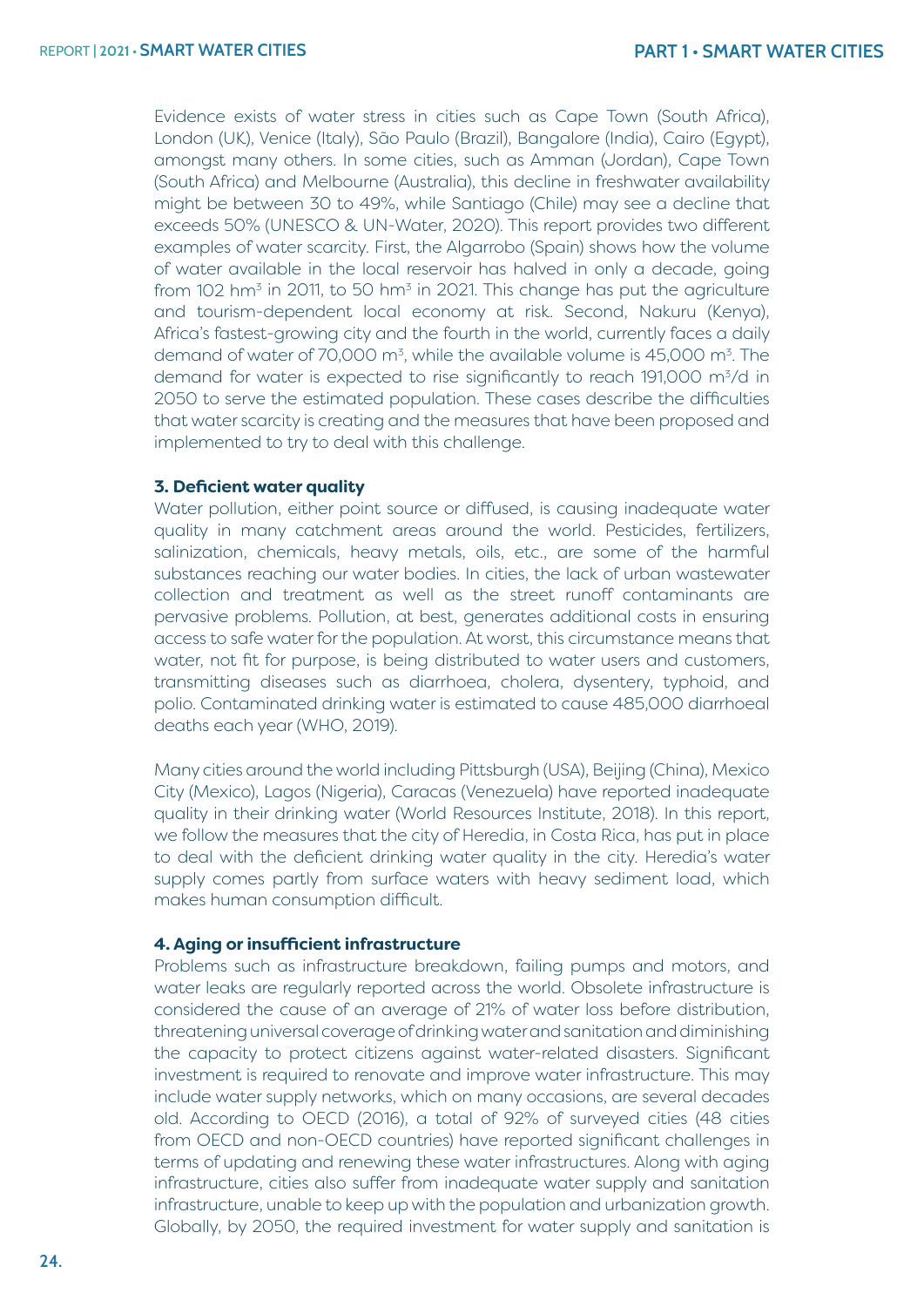Evidence exists of water stress in cities such as Cape Town (South Africa), London (UK), Venice (Italy), São Paulo (Brazil), Bangalore (India), Cairo (Egypt), amongst many others. In some cities, such as Amman (Jordan), Cape Town (South Africa) and Melbourne (Australia), this decline in freshwater availability might be between 30 to 49%, while Santiago (Chile) may see a decline that exceeds 50% (UNESCO & UN-Water, 2020). This report provides two different examples of water scarcity. First, the Algarrobo (Spain) shows how the volume of water available in the local reservoir has halved in only a decade, going from 102 hm<sup>3</sup> in 2011, to 50 hm<sup>3</sup> in 2021. This change has put the agriculture and tourism-dependent local economy at risk. Second, Nakuru (Kenya), Africa's fastest-growing city and the fourth in the world, currently faces a daily demand of water of 70,000 m<sup>3</sup>, while the available volume is 45,000 m<sup>3</sup>. The demand for water is expected to rise significantly to reach 191,000 m<sup>3</sup>/d in 2050 to serve the estimated population. These cases describe the difficulties that water scarcity is creating and the measures that have been proposed and implemented to try to deal with this challenge.

#### **3. Deficient water quality**

Water pollution, either point source or diffused, is causing inadequate water quality in many catchment areas around the world. Pesticides, fertilizers, salinization, chemicals, heavy metals, oils, etc., are some of the harmful substances reaching our water bodies. In cities, the lack of urban wastewater collection and treatment as well as the street runoff contaminants are pervasive problems. Pollution, at best, generates additional costs in ensuring access to safe water for the population. At worst, this circumstance means that water, not fit for purpose, is being distributed to water users and customers, transmitting diseases such as diarrhoea, cholera, dysentery, typhoid, and polio. Contaminated drinking water is estimated to cause 485,000 diarrhoeal deaths each year (WHO, 2019).

Many cities around the world including Pittsburgh (USA), Beijing (China), Mexico City (Mexico), Lagos (Nigeria), Caracas (Venezuela) have reported inadequate quality in their drinking water (World Resources Institute, 2018). In this report, we follow the measures that the city of Heredia, in Costa Rica, has put in place to deal with the deficient drinking water quality in the city. Heredia's water supply comes partly from surface waters with heavy sediment load, which makes human consumption difficult.

#### **4. Aging or insufficient infrastructure**

Problems such as infrastructure breakdown, failing pumps and motors, and water leaks are regularly reported across the world. Obsolete infrastructure is considered the cause of an average of 21% of water loss before distribution, threatening universal coverage of drinking water and sanitation and diminishing the capacity to protect citizens against water-related disasters. Significant investment is required to renovate and improve water infrastructure. This may include water supply networks, which on many occasions, are several decades old. According to OECD (2016), a total of 92% of surveyed cities (48 cities from OECD and non-OECD countries) have reported significant challenges in terms of updating and renewing these water infrastructures. Along with aging infrastructure, cities also suffer from inadequate water supply and sanitation infrastructure, unable to keep up with the population and urbanization growth. Globally, by 2050, the required investment for water supply and sanitation is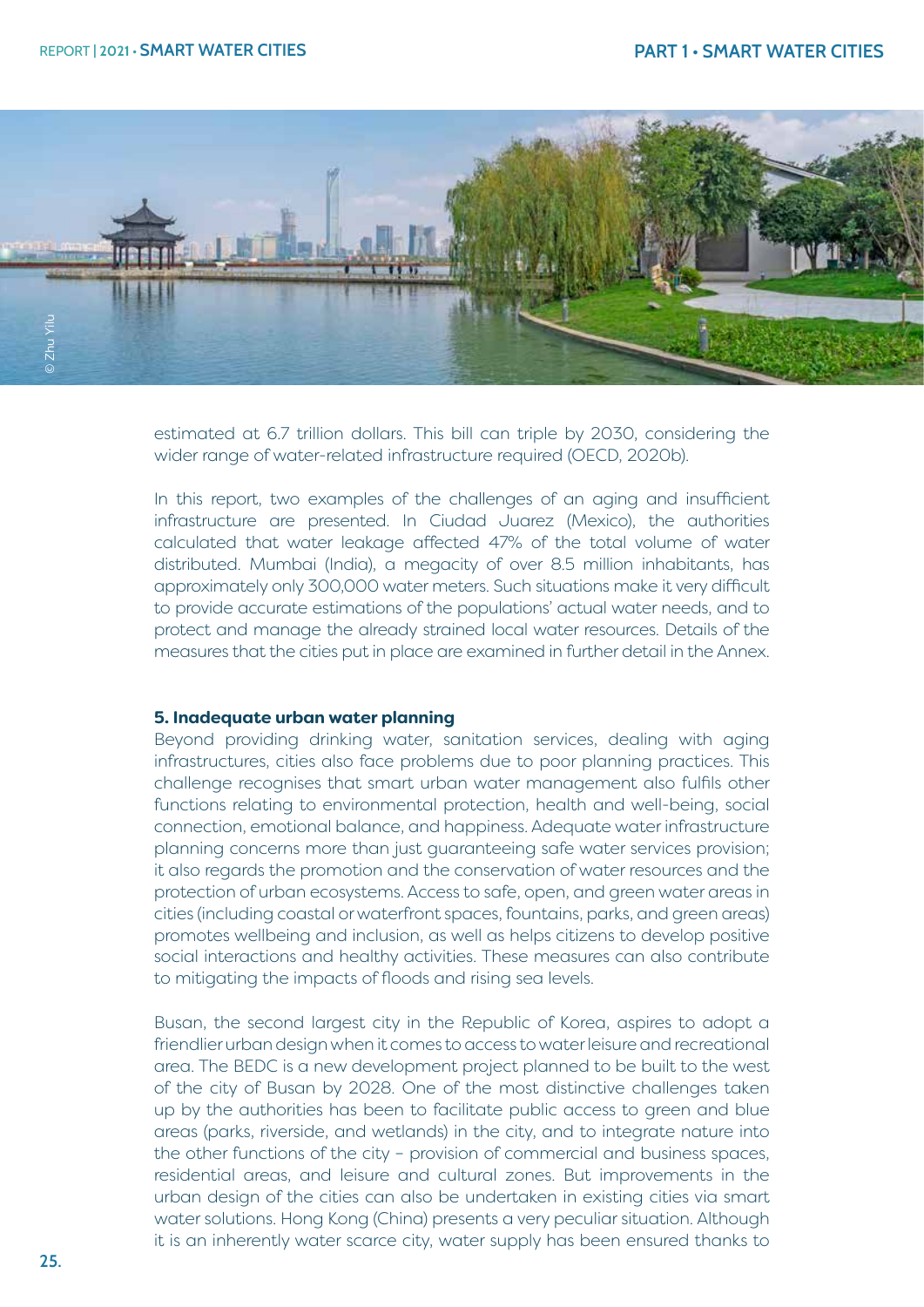

estimated at 6.7 trillion dollars. This bill can triple by 2030, considering the wider range of water-related infrastructure required (OECD, 2020b).

In this report, two examples of the challenges of an aging and insufficient infrastructure are presented. In Ciudad Juarez (Mexico), the authorities calculated that water leakage affected 47% of the total volume of water distributed. Mumbai (India), a megacity of over 8.5 million inhabitants, has approximately only 300,000 water meters. Such situations make it very difficult to provide accurate estimations of the populations' actual water needs, and to protect and manage the already strained local water resources. Details of the measures that the cities put in place are examined in further detail in the Annex.

#### **5. Inadequate urban water planning**

Beyond providing drinking water, sanitation services, dealing with aging infrastructures, cities also face problems due to poor planning practices. This challenge recognises that smart urban water management also fulfils other functions relating to environmental protection, health and well-being, social connection, emotional balance, and happiness. Adequate water infrastructure planning concerns more than just guaranteeing safe water services provision; it also regards the promotion and the conservation of water resources and the protection of urban ecosystems. Access to safe, open, and green water areas in cities (including coastal or waterfront spaces, fountains, parks, and green areas) promotes wellbeing and inclusion, as well as helps citizens to develop positive social interactions and healthy activities. These measures can also contribute to mitigating the impacts of floods and rising sea levels.

Busan, the second largest city in the Republic of Korea, aspires to adopt a friendlier urban design when it comes to access to water leisure and recreational area. The BEDC is a new development project planned to be built to the west of the city of Busan by 2028. One of the most distinctive challenges taken up by the authorities has been to facilitate public access to green and blue areas (parks, riverside, and wetlands) in the city, and to integrate nature into the other functions of the city – provision of commercial and business spaces, residential areas, and leisure and cultural zones. But improvements in the urban design of the cities can also be undertaken in existing cities via smart water solutions. Hong Kong (China) presents a very peculiar situation. Although it is an inherently water scarce city, water supply has been ensured thanks to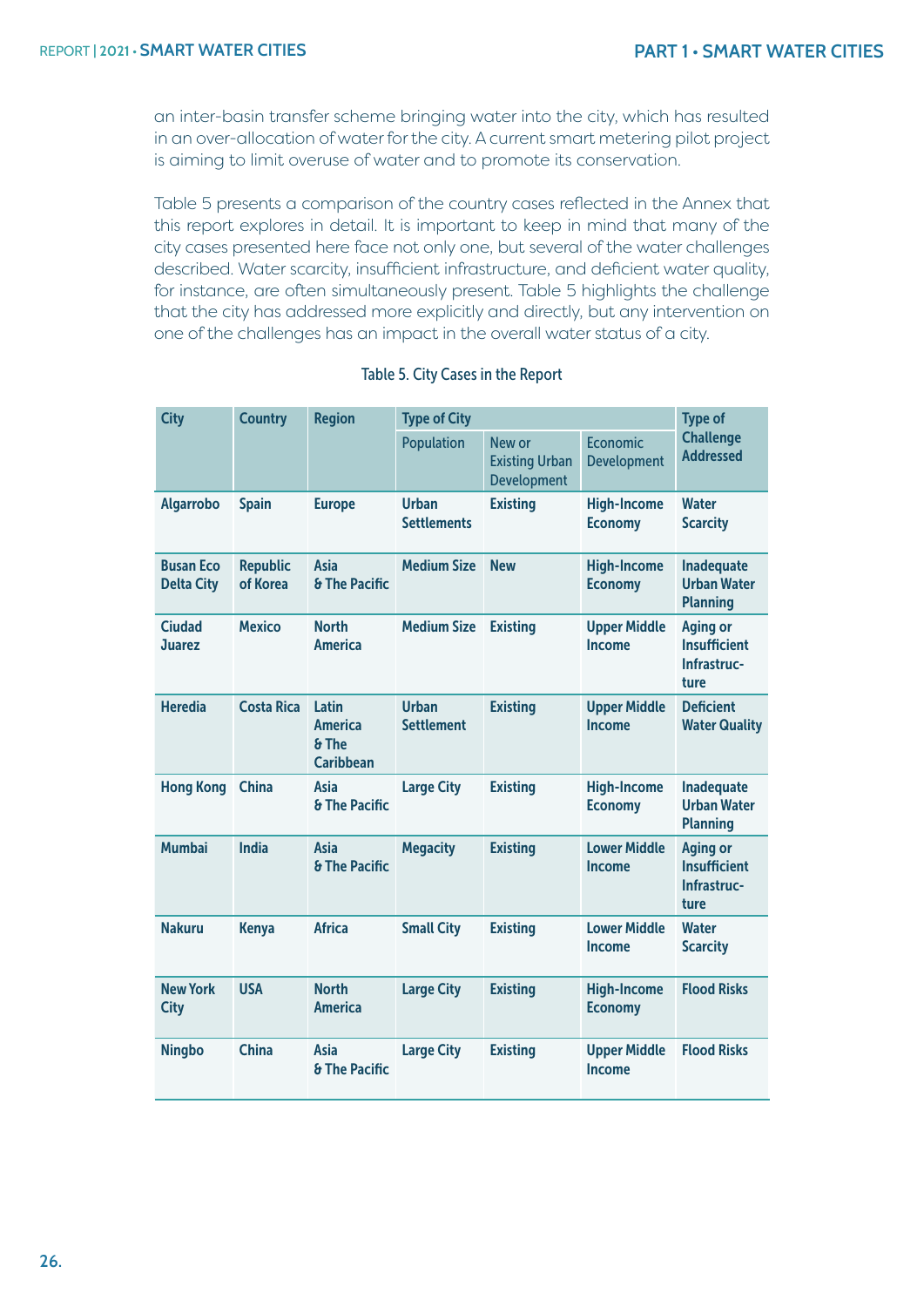an inter-basin transfer scheme bringing water into the city, which has resulted in an over-allocation of water for the city. A current smart metering pilot project is aiming to limit overuse of water and to promote its conservation.

Table 5 presents a comparison of the country cases reflected in the Annex that this report explores in detail. It is important to keep in mind that many of the city cases presented here face not only one, but several of the water challenges described. Water scarcity, insufficient infrastructure, and deficient water quality, for instance, are often simultaneously present. Table 5 highlights the challenge that the city has addressed more explicitly and directly, but any intervention on one of the challenges has an impact in the overall water status of a city.

| <b>City</b>                           | <b>Country</b>              | <b>Region</b>                                        | <b>Type of City</b>                | <b>Type of</b>                                        |                                       |                                                               |
|---------------------------------------|-----------------------------|------------------------------------------------------|------------------------------------|-------------------------------------------------------|---------------------------------------|---------------------------------------------------------------|
|                                       |                             |                                                      | Population                         | New or<br><b>Existing Urban</b><br><b>Development</b> | <b>Economic</b><br><b>Development</b> | <b>Challenge</b><br><b>Addressed</b>                          |
| <b>Algarrobo</b>                      | <b>Spain</b>                | <b>Europe</b>                                        | <b>Urban</b><br><b>Settlements</b> | <b>Existing</b>                                       | <b>High-Income</b><br><b>Economy</b>  | <b>Water</b><br><b>Scarcity</b>                               |
| <b>Busan Eco</b><br><b>Delta City</b> | <b>Republic</b><br>of Korea | <b>Asia</b><br><b>&amp; The Pacific</b>              | <b>Medium Size</b>                 | <b>New</b>                                            | <b>High-Income</b><br><b>Economy</b>  | <b>Inadequate</b><br><b>Urban Water</b><br><b>Planning</b>    |
| <b>Ciudad</b><br><b>Juarez</b>        | <b>Mexico</b>               | <b>North</b><br><b>America</b>                       | <b>Medium Size</b>                 | <b>Existing</b>                                       | <b>Upper Middle</b><br><b>Income</b>  | <b>Aging or</b><br><b>Insufficient</b><br>Infrastruc-<br>ture |
| <b>Heredia</b>                        | <b>Costa Rica</b>           | Latin<br><b>America</b><br>& The<br><b>Caribbean</b> | <b>Urban</b><br><b>Settlement</b>  | <b>Existing</b>                                       | <b>Upper Middle</b><br><b>Income</b>  | <b>Deficient</b><br><b>Water Quality</b>                      |
| <b>Hong Kong</b>                      | <b>China</b>                | <b>Asia</b><br>& The Pacific                         | <b>Large City</b>                  | <b>Existing</b>                                       | <b>High-Income</b><br><b>Economy</b>  | <b>Inadequate</b><br><b>Urban Water</b><br><b>Planning</b>    |
| <b>Mumbai</b>                         | <b>India</b>                | Asia<br><b>&amp; The Pacific</b>                     | <b>Megacity</b>                    | <b>Existing</b>                                       | <b>Lower Middle</b><br><b>Income</b>  | <b>Aging or</b><br><b>Insufficient</b><br>Infrastruc-<br>ture |
| <b>Nakuru</b>                         | <b>Kenya</b>                | <b>Africa</b>                                        | <b>Small City</b>                  | <b>Existing</b>                                       | <b>Lower Middle</b><br><b>Income</b>  | <b>Water</b><br><b>Scarcity</b>                               |
| <b>New York</b><br><b>City</b>        | <b>USA</b>                  | <b>North</b><br><b>America</b>                       | <b>Large City</b>                  | <b>Existing</b>                                       | <b>High-Income</b><br><b>Economy</b>  | <b>Flood Risks</b>                                            |
| <b>Ningbo</b>                         | <b>China</b>                | <b>Asia</b><br><b>&amp; The Pacific</b>              | <b>Large City</b>                  | <b>Existing</b>                                       | <b>Upper Middle</b><br><b>Income</b>  | <b>Flood Risks</b>                                            |

#### Table 5. City Cases in the Report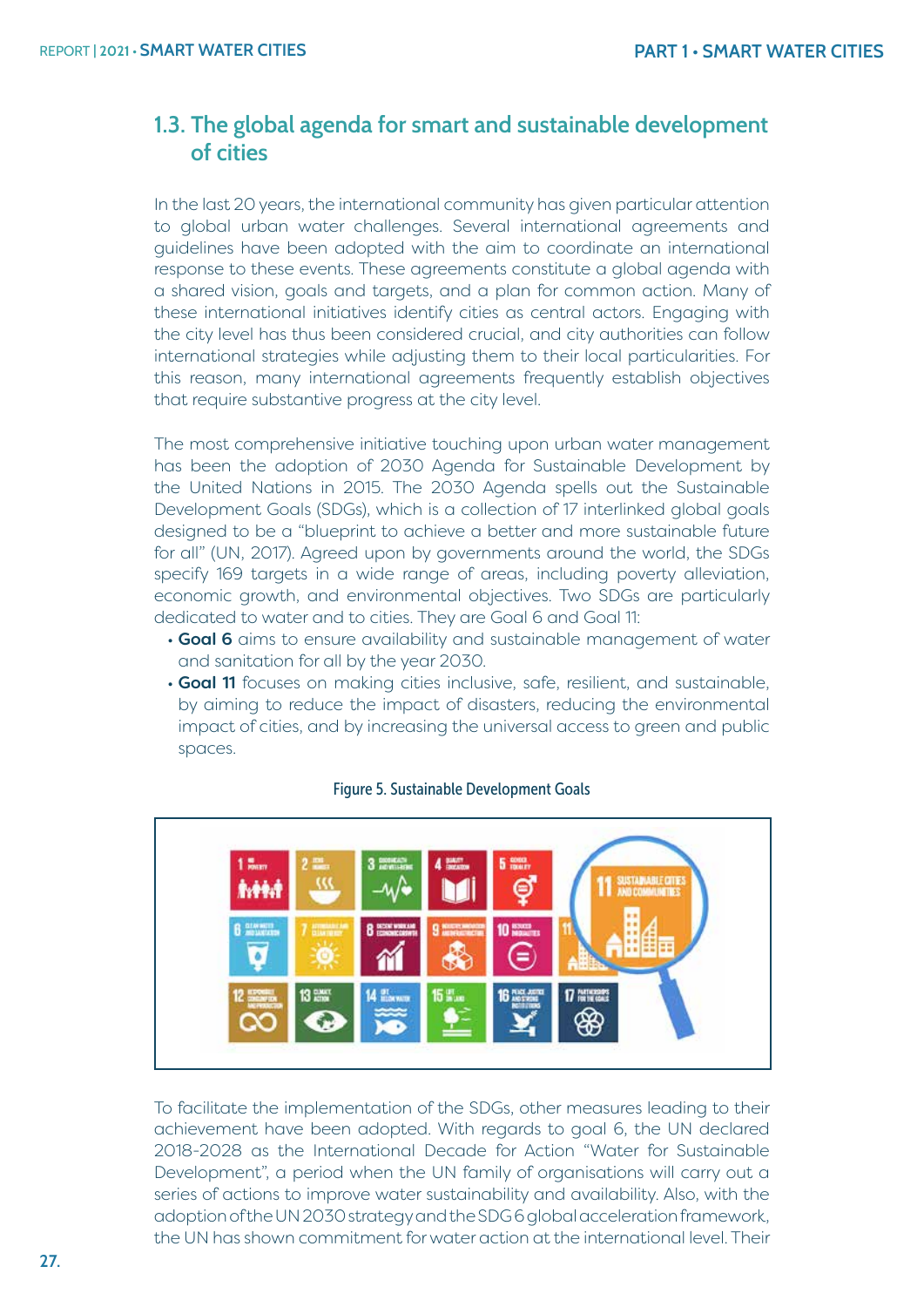# **1.3. The global agenda for smart and sustainable development of cities**

In the last 20 years, the international community has given particular attention to global urban water challenges. Several international agreements and guidelines have been adopted with the aim to coordinate an international response to these events. These agreements constitute a global agenda with a shared vision, goals and targets, and a plan for common action. Many of these international initiatives identify cities as central actors. Engaging with the city level has thus been considered crucial, and city authorities can follow international strategies while adjusting them to their local particularities. For this reason, many international agreements frequently establish objectives that require substantive progress at the city level.

The most comprehensive initiative touching upon urban water management has been the adoption of 2030 Agenda for Sustainable Development by the United Nations in 2015. The 2030 Agenda spells out the Sustainable Development Goals (SDGs), which is a collection of 17 interlinked global goals designed to be a "blueprint to achieve a better and more sustainable future for all" (UN, 2017). Agreed upon by governments around the world, the SDGs specify 169 targets in a wide range of areas, including poverty alleviation, economic growth, and environmental objectives. Two SDGs are particularly dedicated to water and to cities. They are Goal 6 and Goal 11:

- Goal 6 aims to ensure availability and sustainable management of water and sanitation for all by the year 2030.
- Goal 11 focuses on making cities inclusive, safe, resilient, and sustainable, by aiming to reduce the impact of disasters, reducing the environmental impact of cities, and by increasing the universal access to green and public spaces.



#### Figure 5. Sustainable Development Goals

To facilitate the implementation of the SDGs, other measures leading to their achievement have been adopted. With regards to goal 6, the UN declared 2018-2028 as the International Decade for Action "Water for Sustainable Development", a period when the UN family of organisations will carry out a series of actions to improve water sustainability and availability. Also, with the adoption of the UN 2030 strategy and the SDG 6 global acceleration framework, the UN has shown commitment for water action at the international level. Their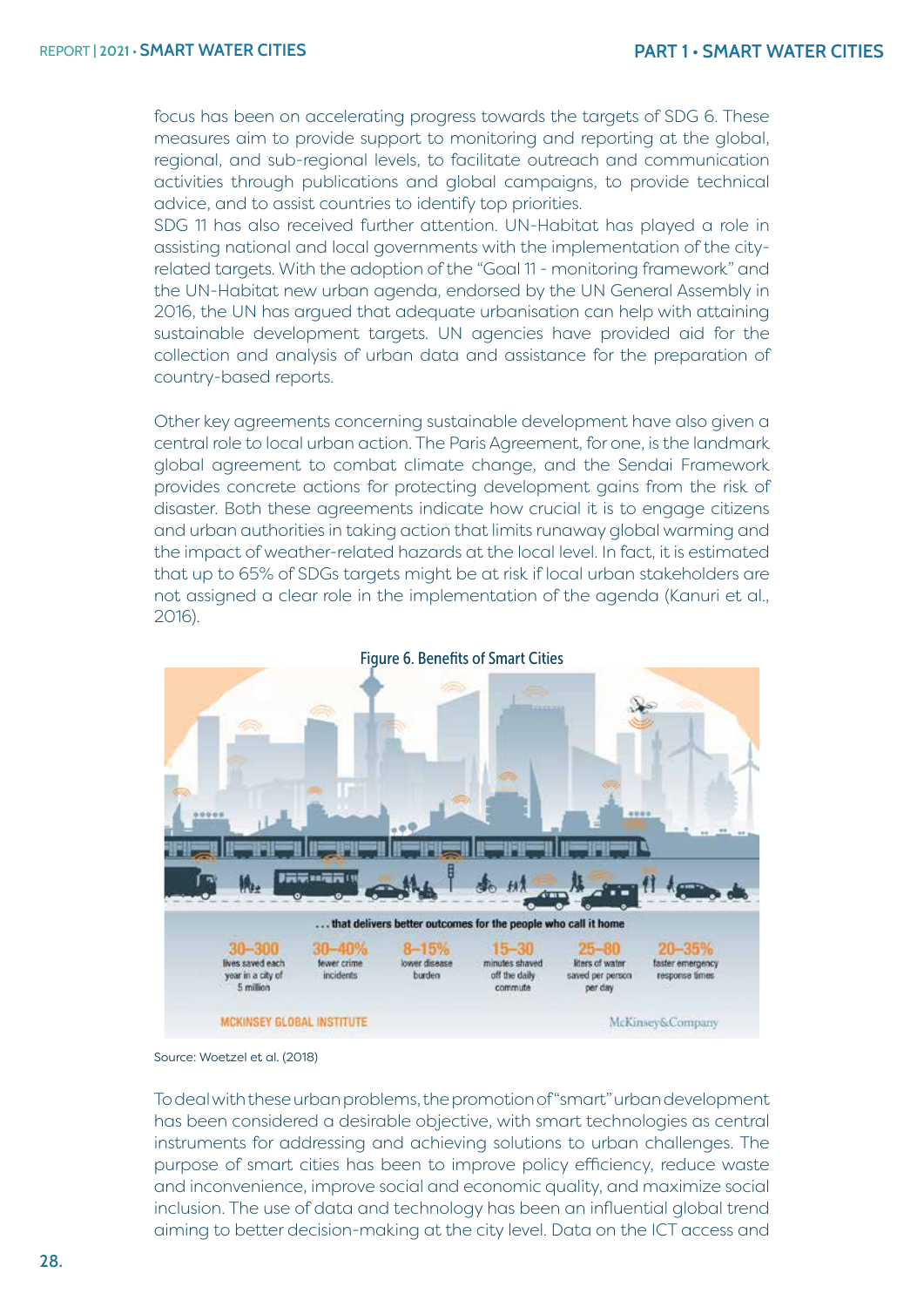focus has been on accelerating progress towards the targets of SDG 6. These measures aim to provide support to monitoring and reporting at the global, regional, and sub-regional levels, to facilitate outreach and communication activities through publications and global campaigns, to provide technical advice, and to assist countries to identify top priorities.

SDG 11 has also received further attention. UN-Habitat has played a role in assisting national and local governments with the implementation of the cityrelated targets. With the adoption of the "Goal 11 - monitoring framework" and the UN-Habitat new urban agenda, endorsed by the UN General Assembly in 2016, the UN has argued that adequate urbanisation can help with attaining sustainable development targets. UN agencies have provided aid for the collection and analysis of urban data and assistance for the preparation of country-based reports.

Other key agreements concerning sustainable development have also given a central role to local urban action. The Paris Agreement, for one, is the landmark global agreement to combat climate change, and the Sendai Framework provides concrete actions for protecting development gains from the risk of disaster. Both these agreements indicate how crucial it is to engage citizens and urban authorities in taking action that limits runaway global warming and the impact of weather-related hazards at the local level. In fact, it is estimated that up to 65% of SDGs targets might be at risk if local urban stakeholders are not assigned a clear role in the implementation of the agenda (Kanuri et al., 2016).



Figure 6. Benefits of Smart Cities

To deal with these urban problems, the promotion of "smart" urban development has been considered a desirable objective, with smart technologies as central instruments for addressing and achieving solutions to urban challenges. The purpose of smart cities has been to improve policy efficiency, reduce waste and inconvenience, improve social and economic quality, and maximize social inclusion. The use of data and technology has been an influential global trend aiming to better decision-making at the city level. Data on the ICT access and

Source: Woetzel et al. (2018)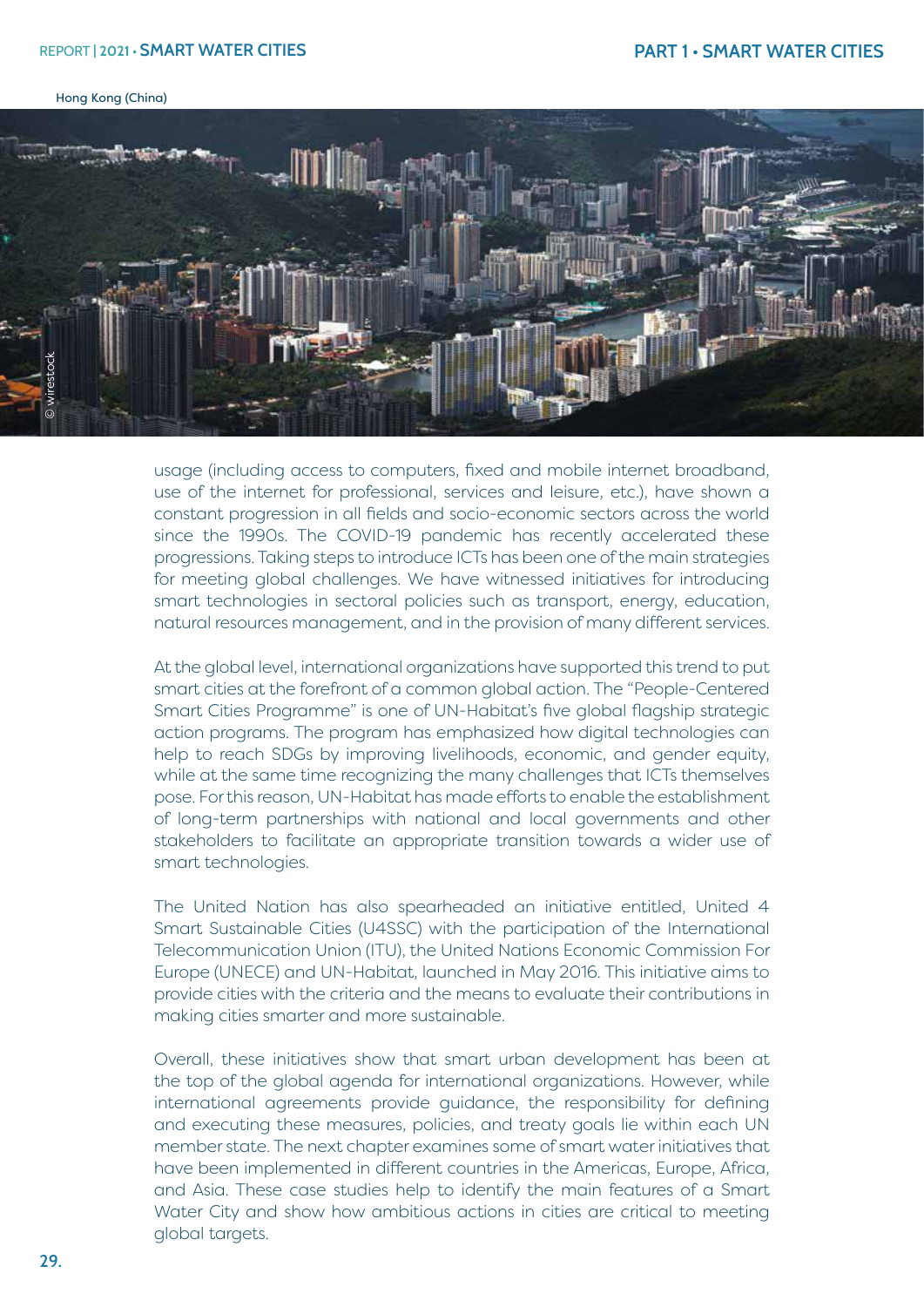#### REPORT **| 2021 • SMART WATER CITIES**

Hong Kong (China)



usage (including access to computers, fixed and mobile internet broadband, use of the internet for professional, services and leisure, etc.), have shown a constant progression in all fields and socio-economic sectors across the world since the 1990s. The COVID-19 pandemic has recently accelerated these progressions. Taking steps to introduce ICTs has been one of the main strategies for meeting global challenges. We have witnessed initiatives for introducing smart technologies in sectoral policies such as transport, energy, education, natural resources management, and in the provision of many different services.

At the global level, international organizations have supported this trend to put smart cities at the forefront of a common global action. The "People-Centered Smart Cities Programme" is one of UN-Habitat's five global flagship strategic action programs. The program has emphasized how digital technologies can help to reach SDGs by improving livelihoods, economic, and gender equity, while at the same time recognizing the many challenges that ICTs themselves pose. For this reason, UN-Habitat has made efforts to enable the establishment of long-term partnerships with national and local governments and other stakeholders to facilitate an appropriate transition towards a wider use of smart technologies.

The United Nation has also spearheaded an initiative entitled, United 4 Smart Sustainable Cities (U4SSC) with the participation of the International Telecommunication Union (ITU), the United Nations Economic Commission For Europe (UNECE) and UN-Habitat, launched in May 2016. This initiative aims to provide cities with the criteria and the means to evaluate their contributions in making cities smarter and more sustainable.

Overall, these initiatives show that smart urban development has been at the top of the global agenda for international organizations. However, while international agreements provide guidance, the responsibility for defining and executing these measures, policies, and treaty goals lie within each UN member state. The next chapter examines some of smart water initiatives that have been implemented in different countries in the Americas, Europe, Africa, and Asia. These case studies help to identify the main features of a Smart Water City and show how ambitious actions in cities are critical to meeting global targets.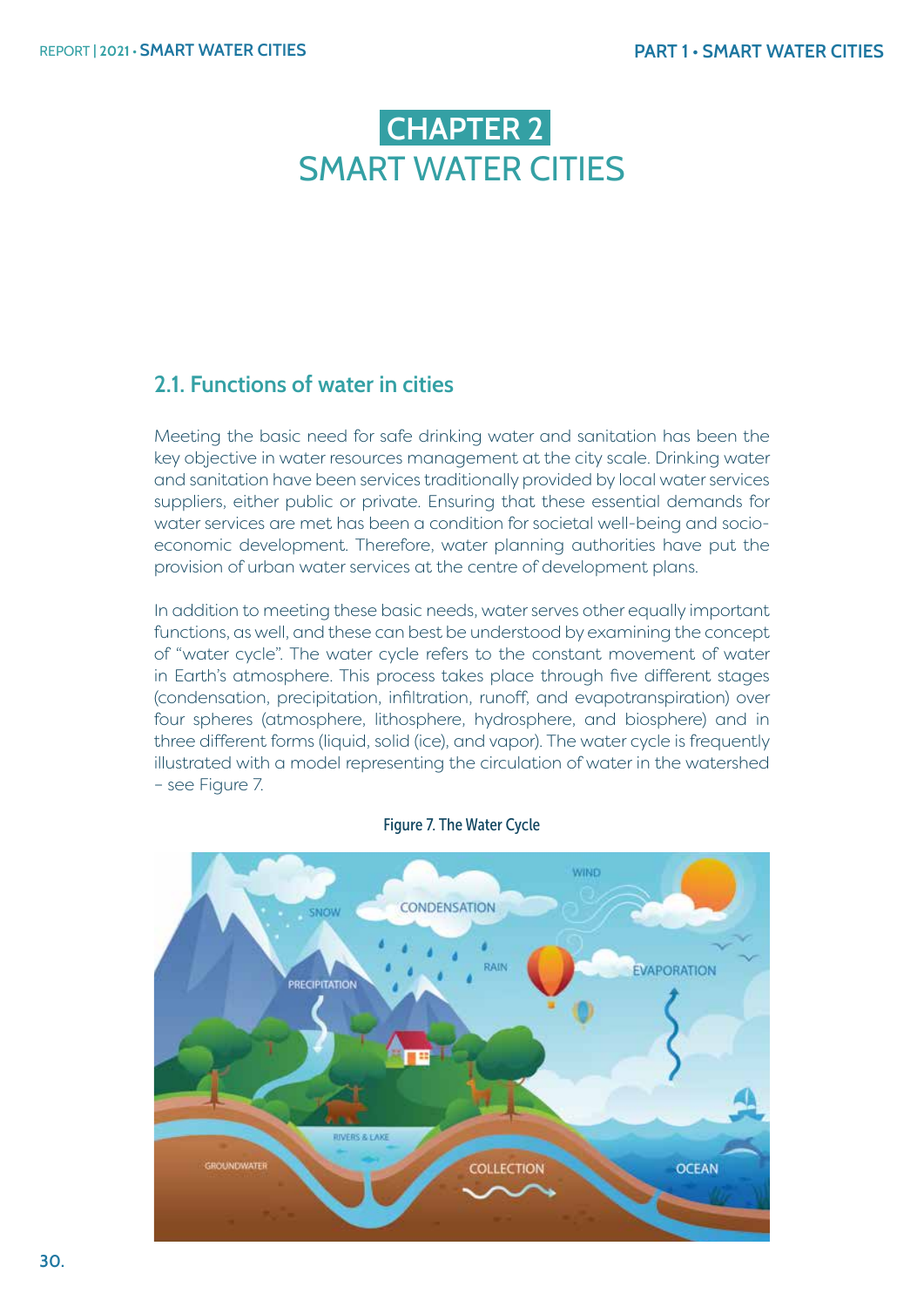# **CHAPTER 2 SMART WATER CITIFS**

# **2.1. Functions of water in cities**

Meeting the basic need for safe drinking water and sanitation has been the key objective in water resources management at the city scale. Drinking water and sanitation have been services traditionally provided by local water services suppliers, either public or private. Ensuring that these essential demands for water services are met has been a condition for societal well-being and socioeconomic development. Therefore, water planning authorities have put the provision of urban water services at the centre of development plans.

In addition to meeting these basic needs, water serves other equally important functions, as well, and these can best be understood by examining the concept of "water cycle". The water cycle refers to the constant movement of water in Earth's atmosphere. This process takes place through five different stages (condensation, precipitation, infiltration, runoff, and evapotranspiration) over four spheres (atmosphere, lithosphere, hydrosphere, and biosphere) and in three different forms (liquid, solid (ice), and vapor). The water cycle is frequently illustrated with a model representing the circulation of water in the watershed – see Figure 7.



Figure 7. The Water Cycle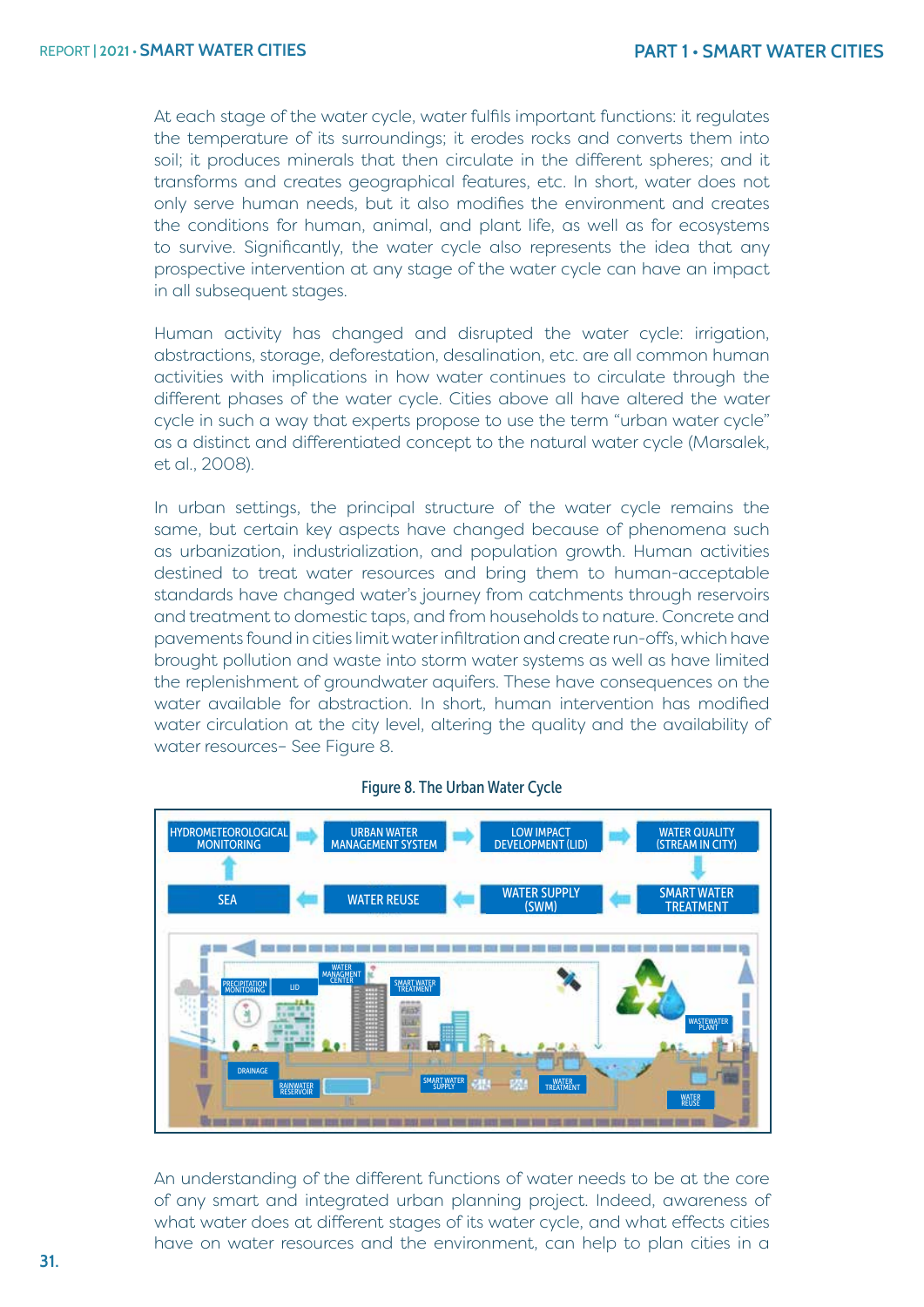At each stage of the water cycle, water fulfils important functions: it regulates the temperature of its surroundings; it erodes rocks and converts them into soil; it produces minerals that then circulate in the different spheres; and it transforms and creates geographical features, etc. In short, water does not only serve human needs, but it also modifies the environment and creates the conditions for human, animal, and plant life, as well as for ecosystems to survive. Significantly, the water cycle also represents the idea that any prospective intervention at any stage of the water cycle can have an impact in all subsequent stages.

Human activity has changed and disrupted the water cycle: irrigation, abstractions, storage, deforestation, desalination, etc. are all common human activities with implications in how water continues to circulate through the different phases of the water cycle. Cities above all have altered the water cycle in such a way that experts propose to use the term "urban water cycle" as a distinct and differentiated concept to the natural water cycle (Marsalek, et al., 2008).

In urban settings, the principal structure of the water cycle remains the same, but certain key aspects have changed because of phenomena such as urbanization, industrialization, and population growth. Human activities destined to treat water resources and bring them to human-acceptable standards have changed water's journey from catchments through reservoirs and treatment to domestic taps, and from households to nature. Concrete and pavements found in cities limit water infiltration and create run-offs, which have brought pollution and waste into storm water systems as well as have limited the replenishment of groundwater aquifers. These have consequences on the water available for abstraction. In short, human intervention has modified water circulation at the city level, altering the quality and the availability of water resources– See Figure 8.



#### Figure 8. The Urban Water Cycle

An understanding of the different functions of water needs to be at the core of any smart and integrated urban planning project. Indeed, awareness of what water does at different stages of its water cycle, and what effects cities have on water resources and the environment, can help to plan cities in a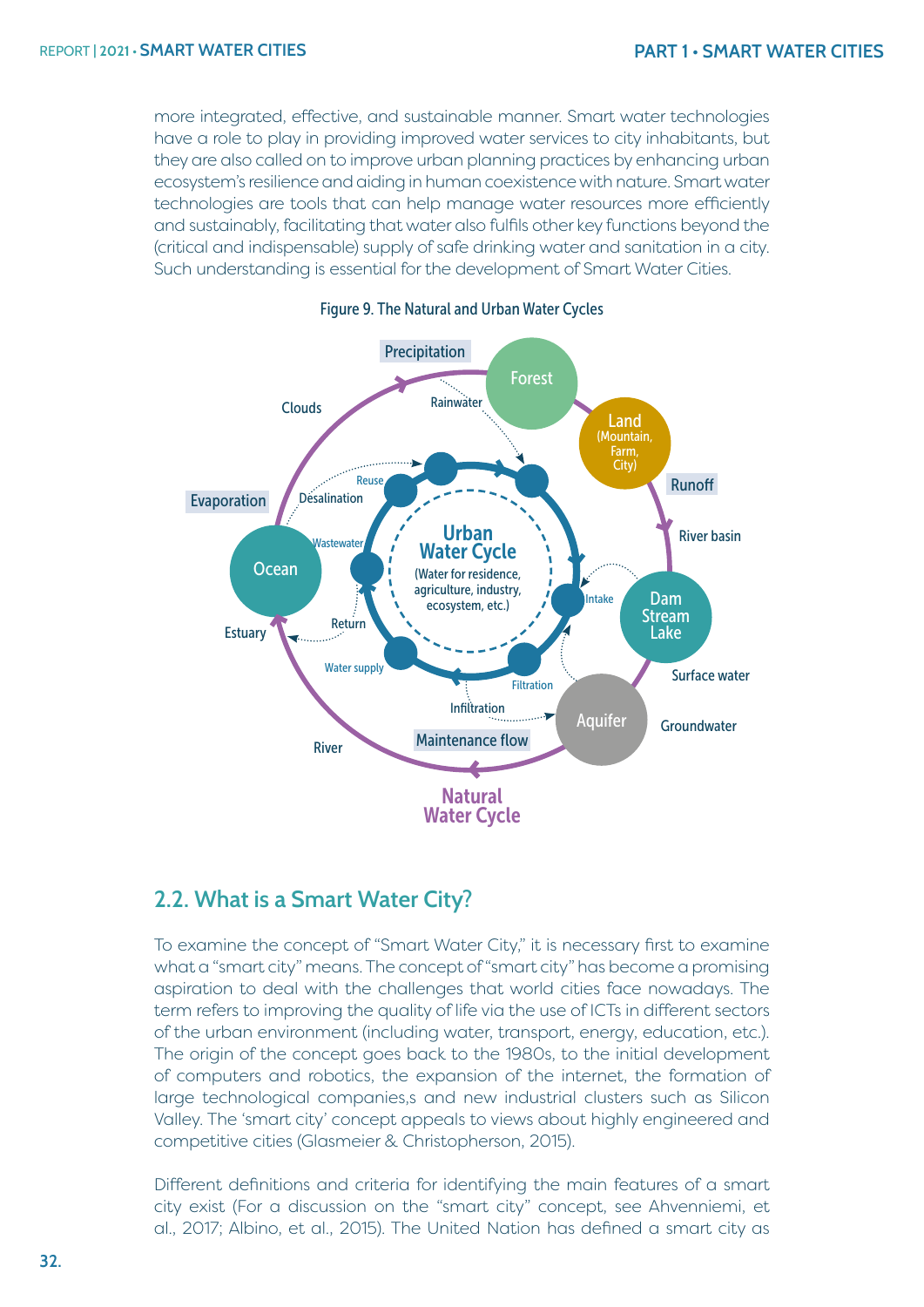more integrated, effective, and sustainable manner. Smart water technologies have a role to play in providing improved water services to city inhabitants, but they are also called on to improve urban planning practices by enhancing urban ecosystem's resilience and aiding in human coexistence with nature. Smart water technologies are tools that can help manage water resources more efficiently and sustainably, facilitating that water also fulfils other key functions beyond the (critical and indispensable) supply of safe drinking water and sanitation in a city. Such understanding is essential for the development of Smart Water Cities.



#### Figure 9. The Natural and Urban Water Cycles

### **2.2. What is a Smart Water City?**

To examine the concept of "Smart Water City," it is necessary first to examine what a "smart city" means. The concept of "smart city" has become a promising aspiration to deal with the challenges that world cities face nowadays. The term refers to improving the quality of life via the use of ICTs in different sectors of the urban environment (including water, transport, energy, education, etc.). The origin of the concept goes back to the 1980s, to the initial development of computers and robotics, the expansion of the internet, the formation of large technological companies,s and new industrial clusters such as Silicon Valley. The 'smart city' concept appeals to views about highly engineered and competitive cities (Glasmeier & Christopherson, 2015).

Different definitions and criteria for identifying the main features of a smart city exist (For a discussion on the "smart city" concept, see Ahvenniemi, et al., 2017; Albino, et al., 2015). The United Nation has defined a smart city as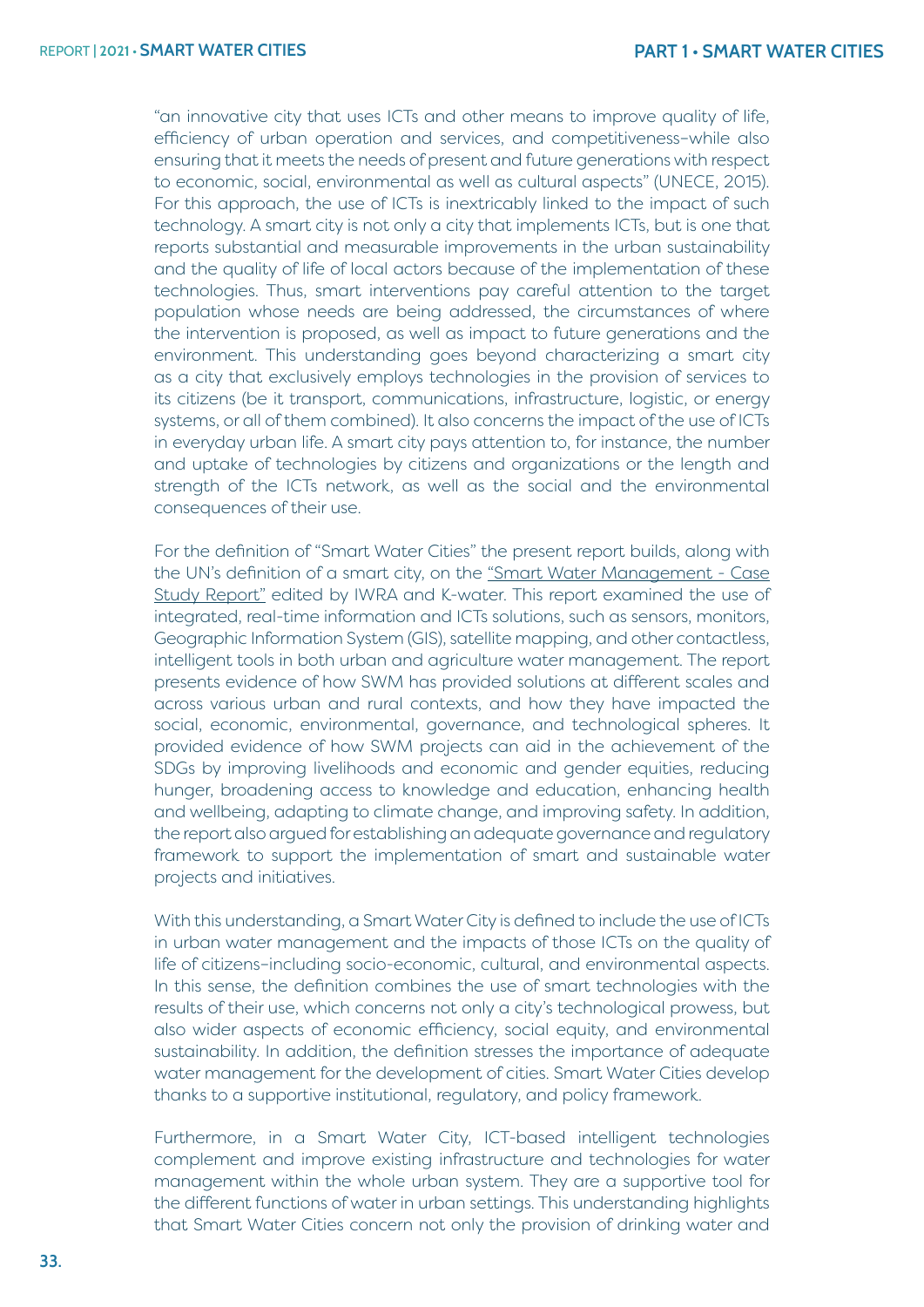"an innovative city that uses ICTs and other means to improve quality of life, efficiency of urban operation and services, and competitiveness–while also ensuring that it meets the needs of present and future generations with respect to economic, social, environmental as well as cultural aspects" (UNECE, 2015). For this approach, the use of ICTs is inextricably linked to the impact of such technology. A smart city is not only a city that implements ICTs, but is one that reports substantial and measurable improvements in the urban sustainability and the quality of life of local actors because of the implementation of these technologies. Thus, smart interventions pay careful attention to the target population whose needs are being addressed, the circumstances of where the intervention is proposed, as well as impact to future generations and the environment. This understanding goes beyond characterizing a smart city as a city that exclusively employs technologies in the provision of services to its citizens (be it transport, communications, infrastructure, logistic, or energy systems, or all of them combined). It also concerns the impact of the use of ICTs in everyday urban life. A smart city pays attention to, for instance, the number and uptake of technologies by citizens and organizations or the length and strength of the ICTs network, as well as the social and the environmental consequences of their use.

For the definition of "Smart Water Cities" the present report builds, along with the UN's definition of a smart city, on the ["Smart Water Management - Case](https://www.iwra.org/wp-content/uploads/2018/11/SWM-report-final.pdf) [Study Report"](https://www.iwra.org/wp-content/uploads/2018/11/SWM-report-final.pdf) edited by IWRA and K-water. This report examined the use of integrated, real-time information and ICTs solutions, such as sensors, monitors, Geographic Information System (GIS), satellite mapping, and other contactless, intelligent tools in both urban and agriculture water management. The report presents evidence of how SWM has provided solutions at different scales and across various urban and rural contexts, and how they have impacted the social, economic, environmental, governance, and technological spheres. It provided evidence of how SWM projects can aid in the achievement of the SDGs by improving livelihoods and economic and gender equities, reducing hunger, broadening access to knowledge and education, enhancing health and wellbeing, adapting to climate change, and improving safety. In addition, the report also argued for establishing an adequate governance and regulatory framework to support the implementation of smart and sustainable water projects and initiatives.

With this understanding, a Smart Water City is defined to include the use of ICTs in urban water management and the impacts of those ICTs on the quality of life of citizens–including socio-economic, cultural, and environmental aspects. In this sense, the definition combines the use of smart technologies with the results of their use, which concerns not only a city's technological prowess, but also wider aspects of economic efficiency, social equity, and environmental sustainability. In addition, the definition stresses the importance of adequate water management for the development of cities. Smart Water Cities develop thanks to a supportive institutional, regulatory, and policy framework.

Furthermore, in a Smart Water City, ICT-based intelligent technologies complement and improve existing infrastructure and technologies for water management within the whole urban system. They are a supportive tool for the different functions of water in urban settings. This understanding highlights that Smart Water Cities concern not only the provision of drinking water and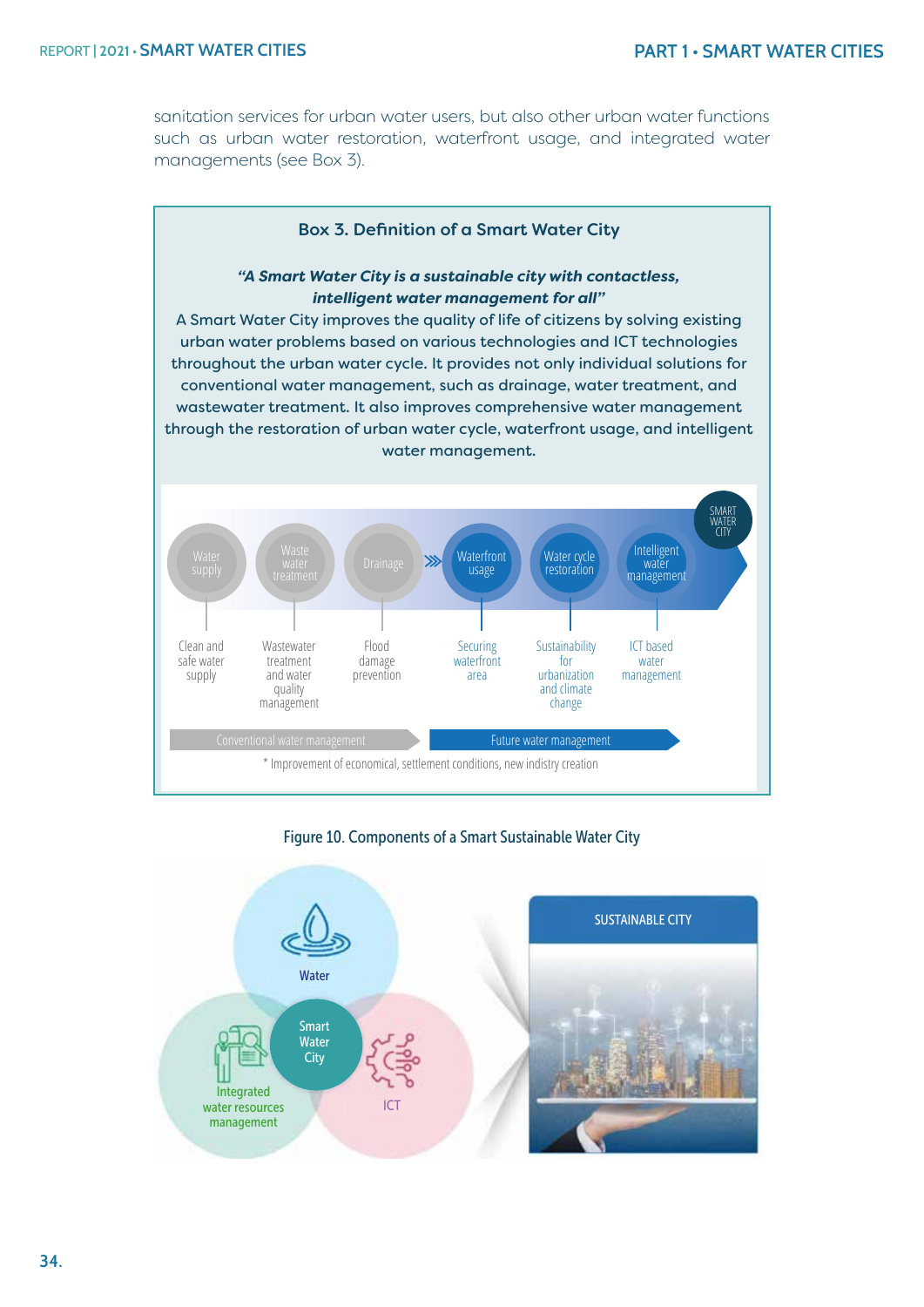sanitation services for urban water users, but also other urban water functions such as urban water restoration, waterfront usage, and integrated water managements (see Box 3).





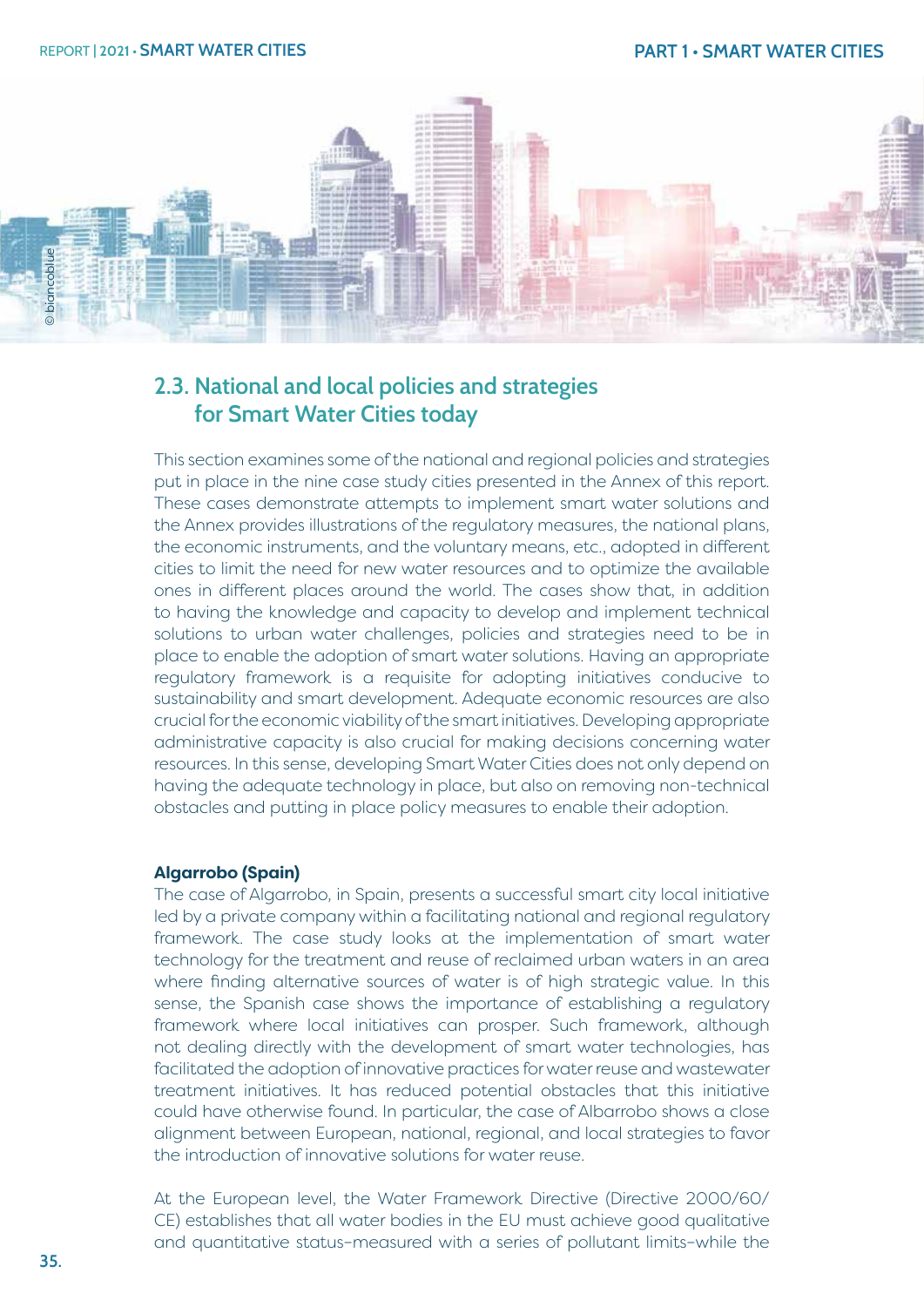

# **2.3. National and local policies and strategies for Smart Water Cities today**

This section examines some of the national and regional policies and strategies put in place in the nine case study cities presented in the Annex of this report. These cases demonstrate attempts to implement smart water solutions and the Annex provides illustrations of the regulatory measures, the national plans, the economic instruments, and the voluntary means, etc., adopted in different cities to limit the need for new water resources and to optimize the available ones in different places around the world. The cases show that, in addition to having the knowledge and capacity to develop and implement technical solutions to urban water challenges, policies and strategies need to be in place to enable the adoption of smart water solutions. Having an appropriate regulatory framework is a requisite for adopting initiatives conducive to sustainability and smart development. Adequate economic resources are also crucial for the economic viability of the smart initiatives. Developing appropriate administrative capacity is also crucial for making decisions concerning water resources. In this sense, developing Smart Water Cities does not only depend on having the adequate technology in place, but also on removing non-technical obstacles and putting in place policy measures to enable their adoption.

#### **Algarrobo (Spain)**

The case of Algarrobo, in Spain, presents a successful smart city local initiative led by a private company within a facilitating national and regional regulatory framework. The case study looks at the implementation of smart water technology for the treatment and reuse of reclaimed urban waters in an area where finding alternative sources of water is of high strategic value. In this sense, the Spanish case shows the importance of establishing a regulatory framework where local initiatives can prosper. Such framework, although not dealing directly with the development of smart water technologies, has facilitated the adoption of innovative practices for water reuse and wastewater treatment initiatives. It has reduced potential obstacles that this initiative could have otherwise found. In particular, the case of Albarrobo shows a close alignment between European, national, regional, and local strategies to favor the introduction of innovative solutions for water reuse.

At the European level, the Water Framework Directive (Directive 2000/60/ CE) establishes that all water bodies in the EU must achieve good qualitative and quantitative status–measured with a series of pollutant limits–while the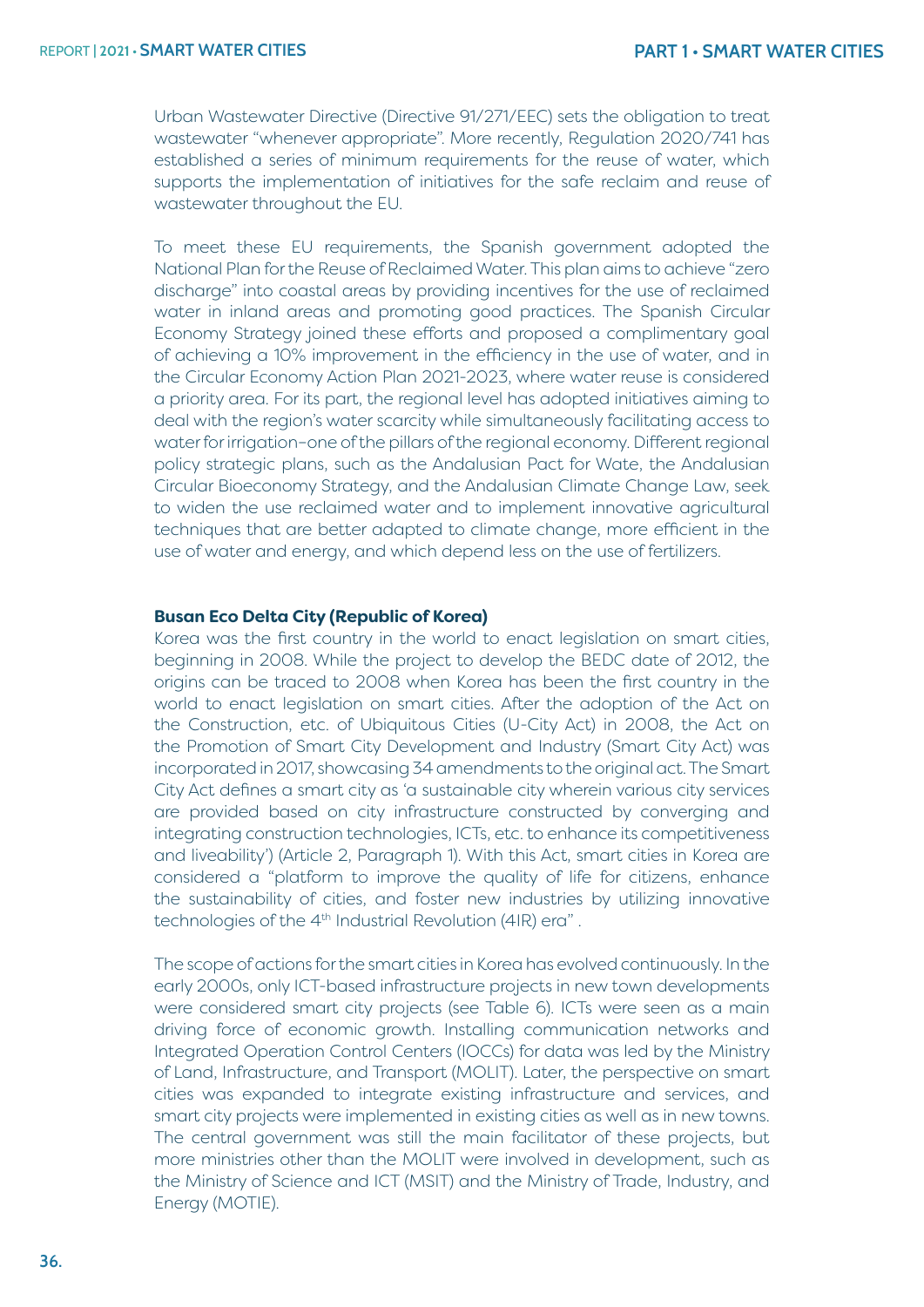Urban Wastewater Directive (Directive 91/271/EEC) sets the obligation to treat wastewater "whenever appropriate". More recently, Regulation 2020/741 has established a series of minimum requirements for the reuse of water, which supports the implementation of initiatives for the safe reclaim and reuse of wastewater throughout the EU.

To meet these EU requirements, the Spanish government adopted the National Plan for the Reuse of Reclaimed Water. This plan aims to achieve "zero discharge" into coastal areas by providing incentives for the use of reclaimed water in inland areas and promoting good practices. The Spanish Circular Economy Strategy joined these efforts and proposed a complimentary goal of achieving a 10% improvement in the efficiency in the use of water, and in the Circular Economy Action Plan 2021-2023, where water reuse is considered a priority area. For its part, the regional level has adopted initiatives aiming to deal with the region's water scarcity while simultaneously facilitating access to water for irrigation–one of the pillars of the regional economy. Different regional policy strategic plans, such as the Andalusian Pact for Wate, the Andalusian Circular Bioeconomy Strategy, and the Andalusian Climate Change Law, seek to widen the use reclaimed water and to implement innovative agricultural techniques that are better adapted to climate change, more efficient in the use of water and energy, and which depend less on the use of fertilizers.

#### **Busan Eco Delta City (Republic of Korea)**

Korea was the first country in the world to enact legislation on smart cities, beginning in 2008. While the project to develop the BEDC date of 2012, the origins can be traced to 2008 when Korea has been the first country in the world to enact legislation on smart cities. After the adoption of the Act on the Construction, etc. of Ubiquitous Cities (U-City Act) in 2008, the Act on the Promotion of Smart City Development and Industry (Smart City Act) was incorporated in 2017, showcasing 34 amendments to the original act. The Smart City Act defines a smart city as 'a sustainable city wherein various city services are provided based on city infrastructure constructed by converging and integrating construction technologies, ICTs, etc. to enhance its competitiveness and liveability') (Article 2, Paragraph 1). With this Act, smart cities in Korea are considered a "platform to improve the quality of life for citizens, enhance the sustainability of cities, and foster new industries by utilizing innovative technologies of the 4<sup>th</sup> Industrial Revolution (4IR) era".

The scope of actions for the smart cities in Korea has evolved continuously. In the early 2000s, only ICT-based infrastructure projects in new town developments were considered smart city projects (see Table 6). ICTs were seen as a main driving force of economic growth. Installing communication networks and Integrated Operation Control Centers (IOCCs) for data was led by the Ministry of Land, Infrastructure, and Transport (MOLIT). Later, the perspective on smart cities was expanded to integrate existing infrastructure and services, and smart city projects were implemented in existing cities as well as in new towns. The central government was still the main facilitator of these projects, but more ministries other than the MOLIT were involved in development, such as the Ministry of Science and ICT (MSIT) and the Ministry of Trade, Industry, and Energy (MOTIE).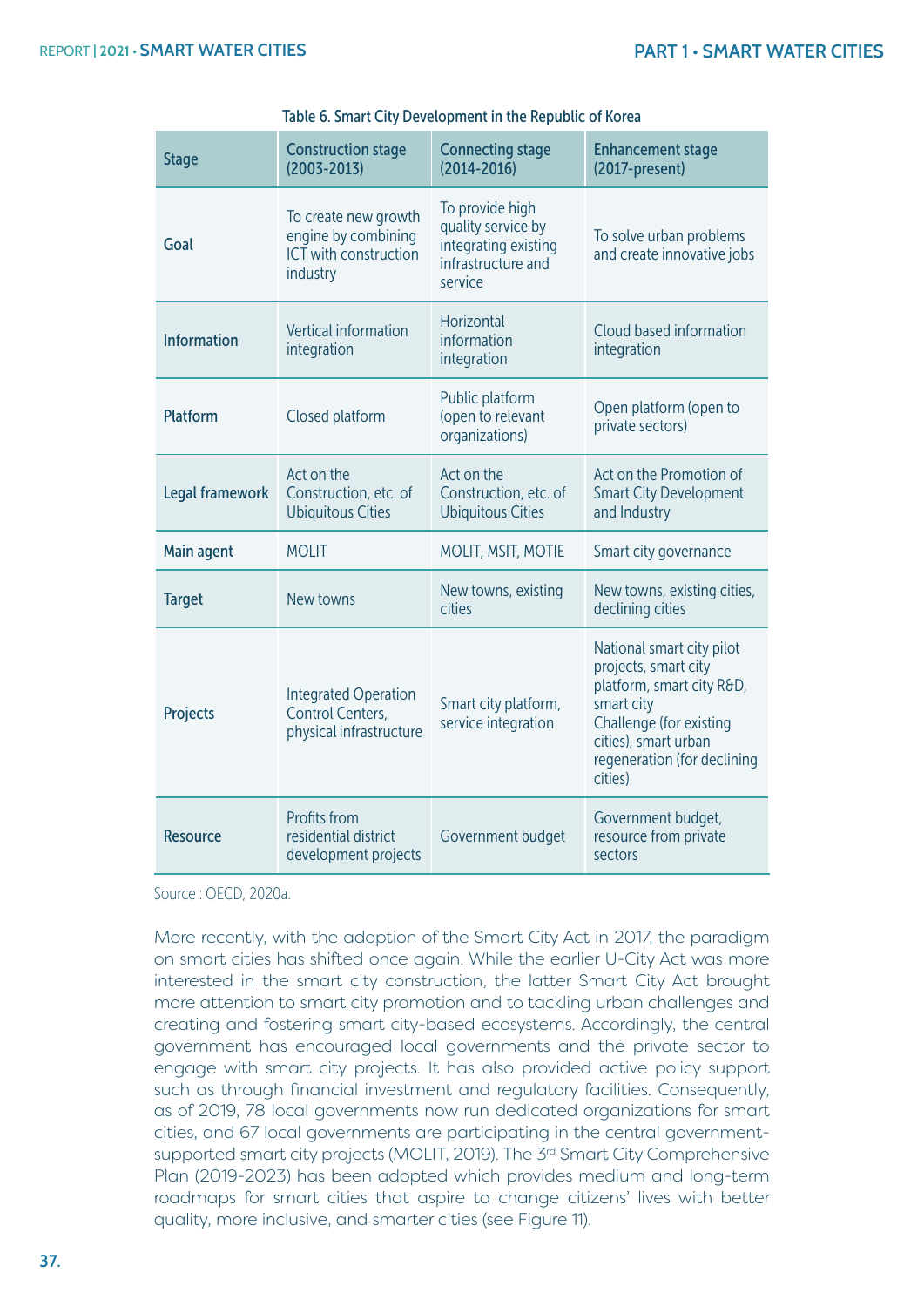| <b>Stage</b>                                                                       | <b>Construction stage</b><br>$(2003 - 2013)$                                     | <b>Connecting stage</b><br>$(2014 - 2016)$                                                     | <b>Enhancement stage</b><br>(2017-present)                                                                                                                                                |  |
|------------------------------------------------------------------------------------|----------------------------------------------------------------------------------|------------------------------------------------------------------------------------------------|-------------------------------------------------------------------------------------------------------------------------------------------------------------------------------------------|--|
| Goal                                                                               | To create new growth<br>engine by combining<br>ICT with construction<br>industry | To provide high<br>quality service by<br>integrating existing<br>infrastructure and<br>service | To solve urban problems<br>and create innovative jobs                                                                                                                                     |  |
| <b>Information</b>                                                                 | Vertical information<br>integration                                              | Horizontal<br>information<br>integration                                                       | Cloud based information<br>integration                                                                                                                                                    |  |
| <b>Platform</b>                                                                    | Closed platform                                                                  | Public platform<br>(open to relevant<br>organizations)                                         | Open platform (open to<br>private sectors)                                                                                                                                                |  |
| Act on the<br>Legal framework<br>Construction, etc. of<br><b>Ubiquitous Cities</b> |                                                                                  | Act on the<br>Construction, etc. of<br><b>Ubiquitous Cities</b>                                | Act on the Promotion of<br><b>Smart City Development</b><br>and Industry                                                                                                                  |  |
| Main agent                                                                         | <b>MOLIT</b>                                                                     | <b>MOLIT, MSIT, MOTIE</b>                                                                      | Smart city governance                                                                                                                                                                     |  |
| <b>Target</b>                                                                      | New towns                                                                        | New towns, existing<br>cities                                                                  | New towns, existing cities,<br>declining cities                                                                                                                                           |  |
| Projects                                                                           | <b>Integrated Operation</b><br>Control Centers,<br>physical infrastructure       | Smart city platform,<br>service integration                                                    | National smart city pilot<br>projects, smart city<br>platform, smart city R&D,<br>smart city<br>Challenge (for existing<br>cities), smart urban<br>regeneration (for declining<br>cities) |  |
| <b>Resource</b>                                                                    | Profits from<br>residential district<br>development projects                     | Government budget                                                                              | Government budget,<br>resource from private<br>sectors                                                                                                                                    |  |

|  |  |  | Table 6. Smart City Development in the Republic of Korea |  |
|--|--|--|----------------------------------------------------------|--|
|  |  |  |                                                          |  |

Source : OECD, 2020a.

More recently, with the adoption of the Smart City Act in 2017, the paradigm on smart cities has shifted once again. While the earlier U-City Act was more interested in the smart city construction, the latter Smart City Act brought more attention to smart city promotion and to tackling urban challenges and creating and fostering smart city-based ecosystems. Accordingly, the central government has encouraged local governments and the private sector to engage with smart city projects. It has also provided active policy support such as through financial investment and regulatory facilities. Consequently, as of 2019, 78 local governments now run dedicated organizations for smart cities, and 67 local governments are participating in the central governmentsupported smart city projects (MOLIT, 2019). The 3<sup>rd</sup> Smart City Comprehensive Plan (2019-2023) has been adopted which provides medium and long-term roadmaps for smart cities that aspire to change citizens' lives with better quality, more inclusive, and smarter cities (see Figure 11).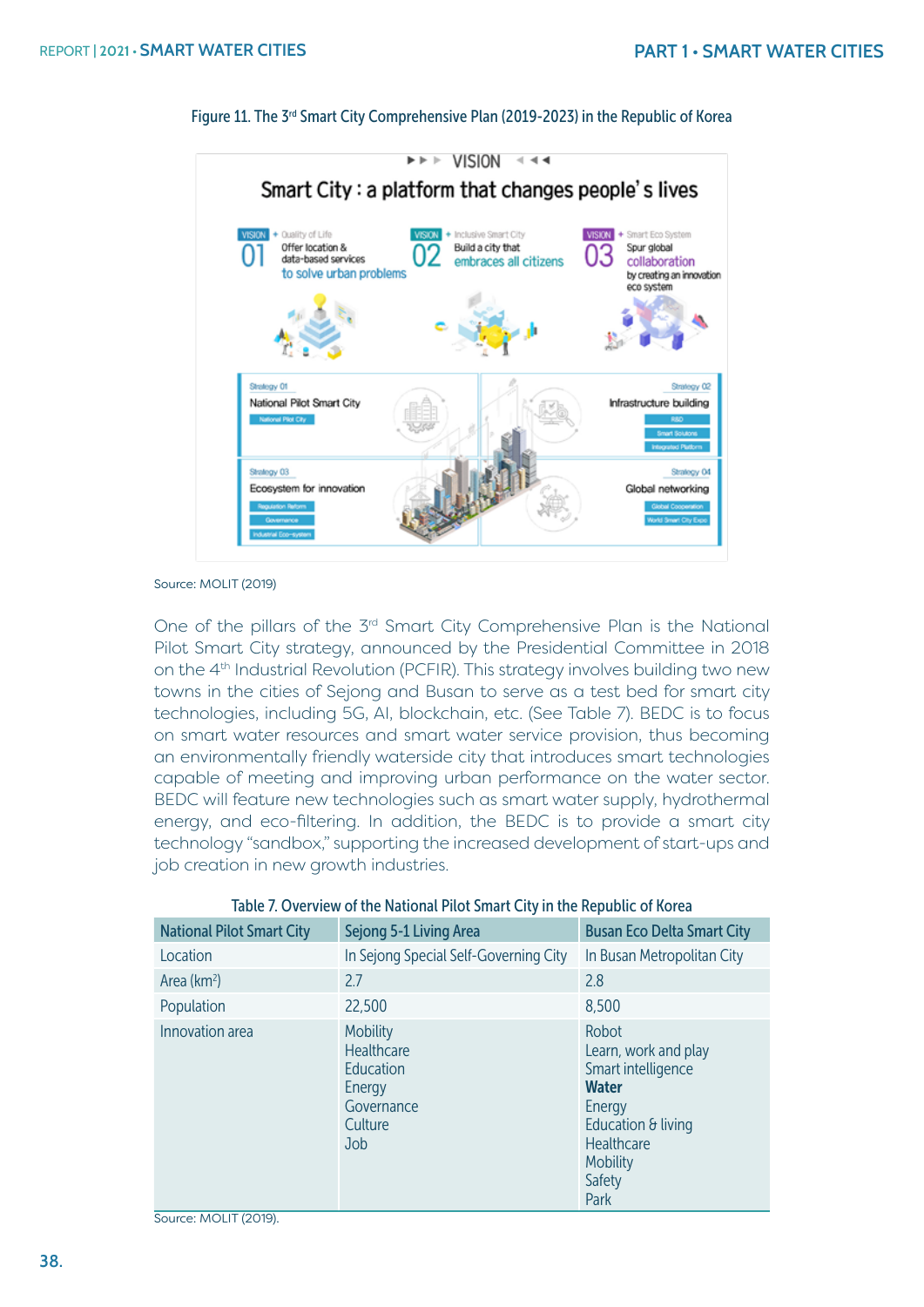

#### Figure 11. The 3<sup>rd</sup> Smart City Comprehensive Plan (2019-2023) in the Republic of Korea

Source: MOLIT (2019)

One of the pillars of the 3<sup>rd</sup> Smart City Comprehensive Plan is the National Pilot Smart City strategy, announced by the Presidential Committee in 2018 on the 4<sup>th</sup> Industrial Revolution (PCFIR). This strategy involves building two new towns in the cities of Sejong and Busan to serve as a test bed for smart city technologies, including 5G, AI, blockchain, etc. (See Table 7). BEDC is to focus on smart water resources and smart water service provision, thus becoming an environmentally friendly waterside city that introduces smart technologies capable of meeting and improving urban performance on the water sector. BEDC will feature new technologies such as smart water supply, hydrothermal energy, and eco-filtering. In addition, the BEDC is to provide a smart city technology "sandbox," supporting the increased development of start-ups and job creation in new growth industries.

| <b>National Pilot Smart City</b> | Sejong 5-1 Living Area                                                               | <b>Busan Eco Delta Smart City</b>                                                                                                                             |
|----------------------------------|--------------------------------------------------------------------------------------|---------------------------------------------------------------------------------------------------------------------------------------------------------------|
| Location                         | In Sejong Special Self-Governing City                                                | In Busan Metropolitan City                                                                                                                                    |
| Area ( $km^2$ )                  | 2.7                                                                                  | 2.8                                                                                                                                                           |
| Population                       | 22,500                                                                               | 8,500                                                                                                                                                         |
| Innovation area                  | <b>Mobility</b><br>Healthcare<br>Education<br>Energy<br>Governance<br>Culture<br>Job | Robot<br>Learn, work and play<br>Smart intelligence<br><b>Water</b><br>Energy<br>Education $\theta$ living<br>Healthcare<br><b>Mobility</b><br>Safety<br>Park |

#### Table 7. Overview of the National Pilot Smart City in the Republic of Korea

Source: MOLIT (2019).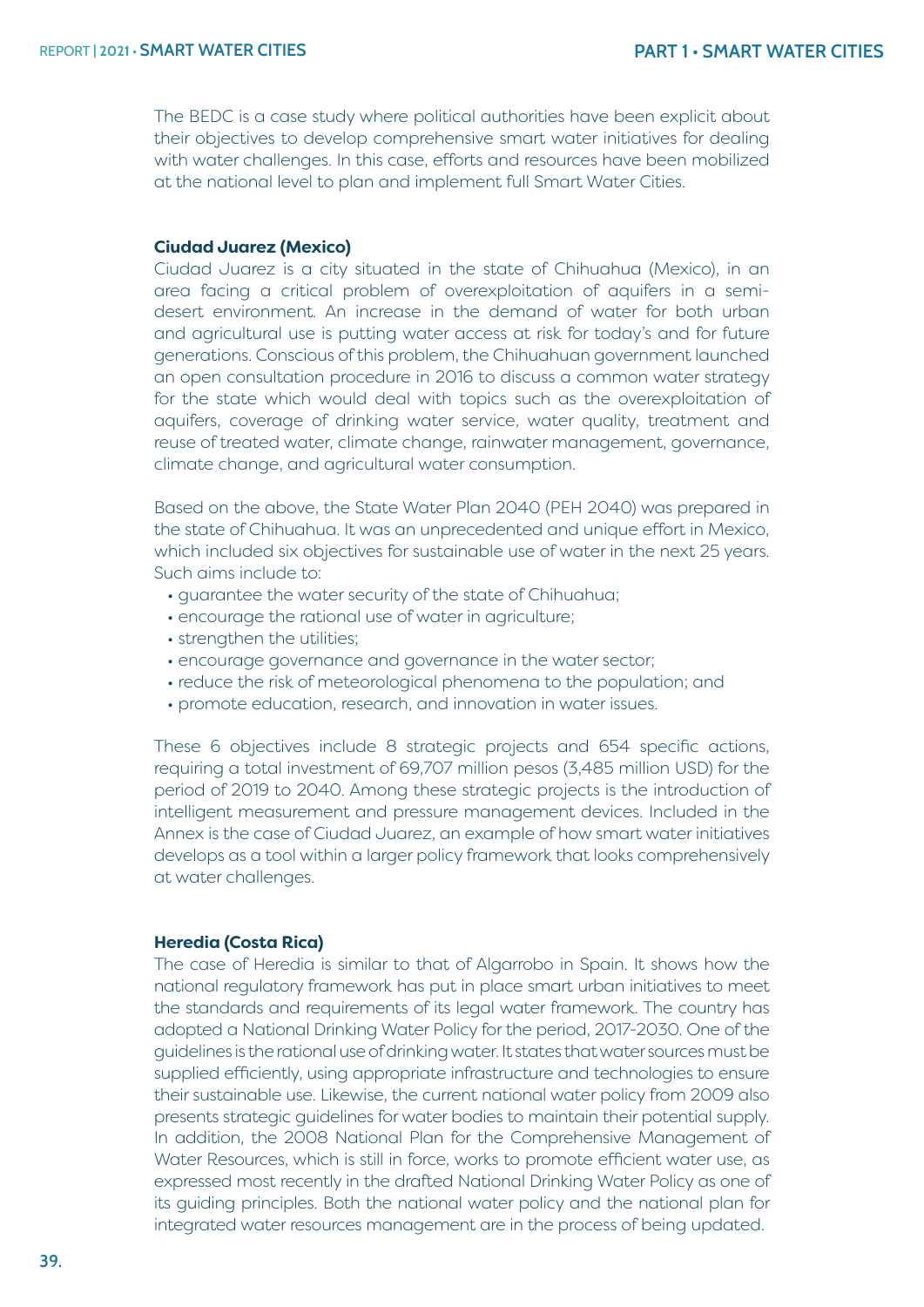The BEDC is a case study where political authorities have been explicit about their objectives to develop comprehensive smart water initiatives for dealing with water challenges. In this case, efforts and resources have been mobilized at the national level to plan and implement full Smart Water Cities.

#### **Ciudad Juarez (Mexico)**

Ciudad Juarez is a city situated in the state of Chihuahua (Mexico), in an area facing a critical problem of overexploitation of aquifers in a semidesert environment. An increase in the demand of water for both urban and agricultural use is putting water access at risk for today's and for future generations. Conscious of this problem, the Chihuahuan government launched an open consultation procedure in 2016 to discuss a common water strategy for the state which would deal with topics such as the overexploitation of aquifers, coverage of drinking water service, water quality, treatment and reuse of treated water, climate change, rainwater management, governance, climate change, and agricultural water consumption.

Based on the above, the State Water Plan 2040 (PEH 2040) was prepared in the state of Chihuahua. It was an unprecedented and unique effort in Mexico, which included six objectives for sustainable use of water in the next 25 years. Such aims include to:

- guarantee the water security of the state of Chihuahua;
- encourage the rational use of water in agriculture;
- strengthen the utilities:
- encourage governance and governance in the water sector;
- reduce the risk of meteorological phenomena to the population; and
- promote education, research, and innovation in water issues.

These 6 objectives include 8 strategic projects and 654 specific actions, requiring a total investment of 69,707 million pesos (3,485 million USD) for the period of 2019 to 2040. Among these strategic projects is the introduction of intelligent measurement and pressure management devices. Included in the Annex is the case of Ciudad Juarez, an example of how smart water initiatives develops as a tool within a larger policy framework that looks comprehensively at water challenges.

#### **Heredia (Costa Rica)**

The case of Heredia is similar to that of Algarrobo in Spain. It shows how the national regulatory framework has put in place smart urban initiatives to meet the standards and requirements of its legal water framework. The country has adopted a National Drinking Water Policy for the period, 2017-2030. One of the guidelines is the rational use of drinking water. It states that water sources must be supplied efficiently, using appropriate infrastructure and technologies to ensure their sustainable use. Likewise, the current national water policy from 2009 also presents strategic guidelines for water bodies to maintain their potential supply. In addition, the 2008 National Plan for the Comprehensive Management of Water Resources, which is still in force, works to promote efficient water use, as expressed most recently in the drafted National Drinking Water Policy as one of its guiding principles. Both the national water policy and the national plan for integrated water resources management are in the process of being updated.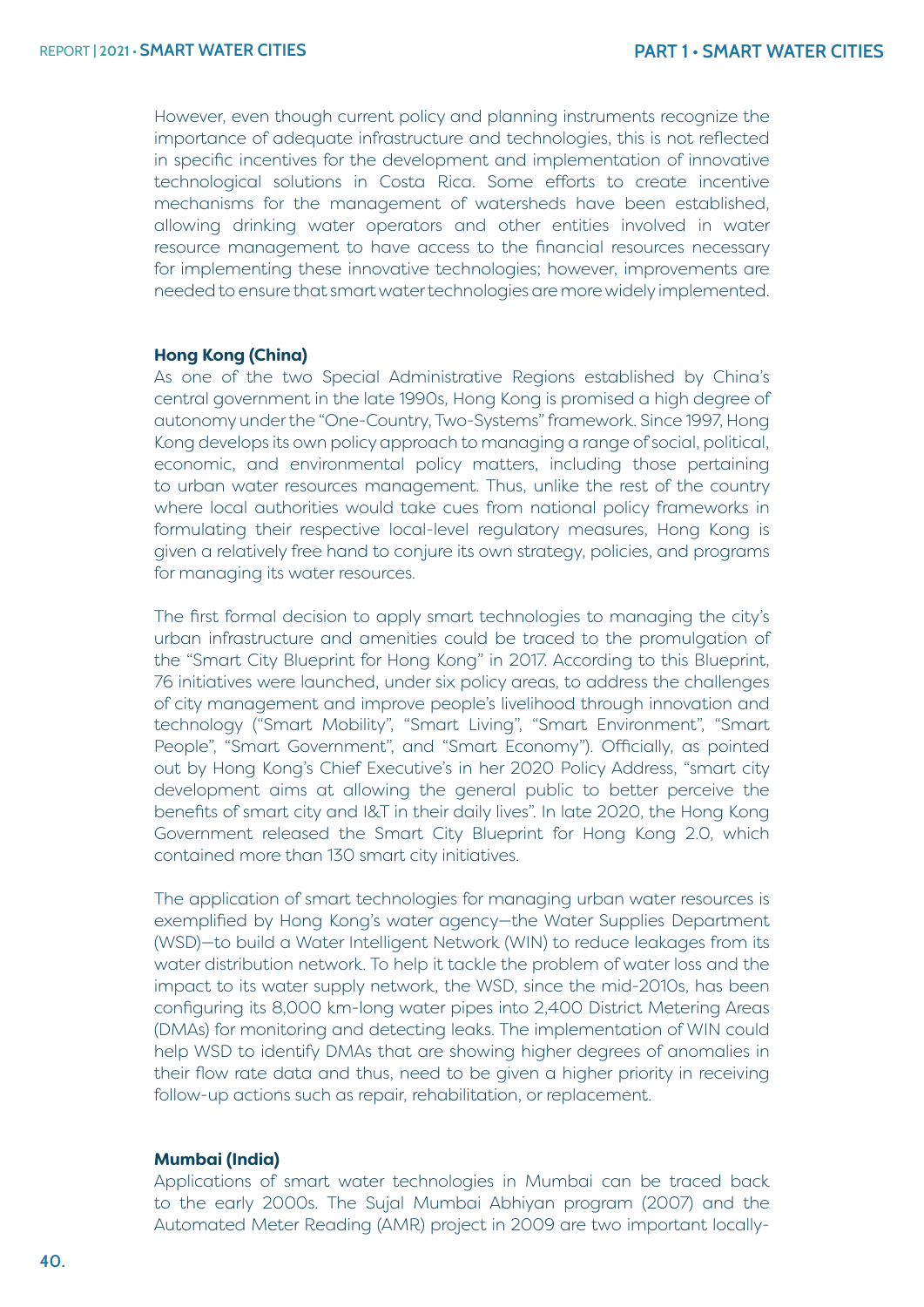However, even though current policy and planning instruments recognize the importance of adequate infrastructure and technologies, this is not reflected in specific incentives for the development and implementation of innovative technological solutions in Costa Rica. Some efforts to create incentive mechanisms for the management of watersheds have been established, allowing drinking water operators and other entities involved in water resource management to have access to the financial resources necessary for implementing these innovative technologies; however, improvements are needed to ensure that smart water technologies are more widely implemented.

#### **Hong Kong (China)**

As one of the two Special Administrative Regions established by China's central government in the late 1990s, Hong Kong is promised a high degree of autonomy under the "One-Country, Two-Systems" framework. Since 1997, Hong Kong develops its own policy approach to managing a range of social, political, economic, and environmental policy matters, including those pertaining to urban water resources management. Thus, unlike the rest of the country where local authorities would take cues from national policy frameworks in formulating their respective local-level regulatory measures, Hong Kong is given a relatively free hand to conjure its own strategy, policies, and programs for managing its water resources.

The first formal decision to apply smart technologies to managing the city's urban infrastructure and amenities could be traced to the promulgation of the "Smart City Blueprint for Hong Kong" in 2017. According to this Blueprint, 76 initiatives were launched, under six policy areas, to address the challenges of city management and improve people's livelihood through innovation and technology ("Smart Mobility", "Smart Living", "Smart Environment", "Smart People", "Smart Government", and "Smart Economy"). Officially, as pointed out by Hong Kong's Chief Executive's in her 2020 Policy Address, "smart city development aims at allowing the general public to better perceive the benefits of smart city and I&T in their daily lives". In late 2020, the Hong Kong Government released the Smart City Blueprint for Hong Kong 2.0, which contained more than 130 smart city initiatives.

The application of smart technologies for managing urban water resources is exemplified by Hong Kong's water agency—the Water Supplies Department (WSD)—to build a Water Intelligent Network (WIN) to reduce leakages from its water distribution network. To help it tackle the problem of water loss and the impact to its water supply network, the WSD, since the mid-2010s, has been configuring its 8,000 km-long water pipes into 2,400 District Metering Areas (DMAs) for monitoring and detecting leaks. The implementation of WIN could help WSD to identify DMAs that are showing higher degrees of anomalies in their flow rate data and thus, need to be given a higher priority in receiving follow-up actions such as repair, rehabilitation, or replacement.

#### **Mumbai (India)**

Applications of smart water technologies in Mumbai can be traced back to the early 2000s. The Sujal Mumbai Abhiyan program (2007) and the Automated Meter Reading (AMR) project in 2009 are two important locally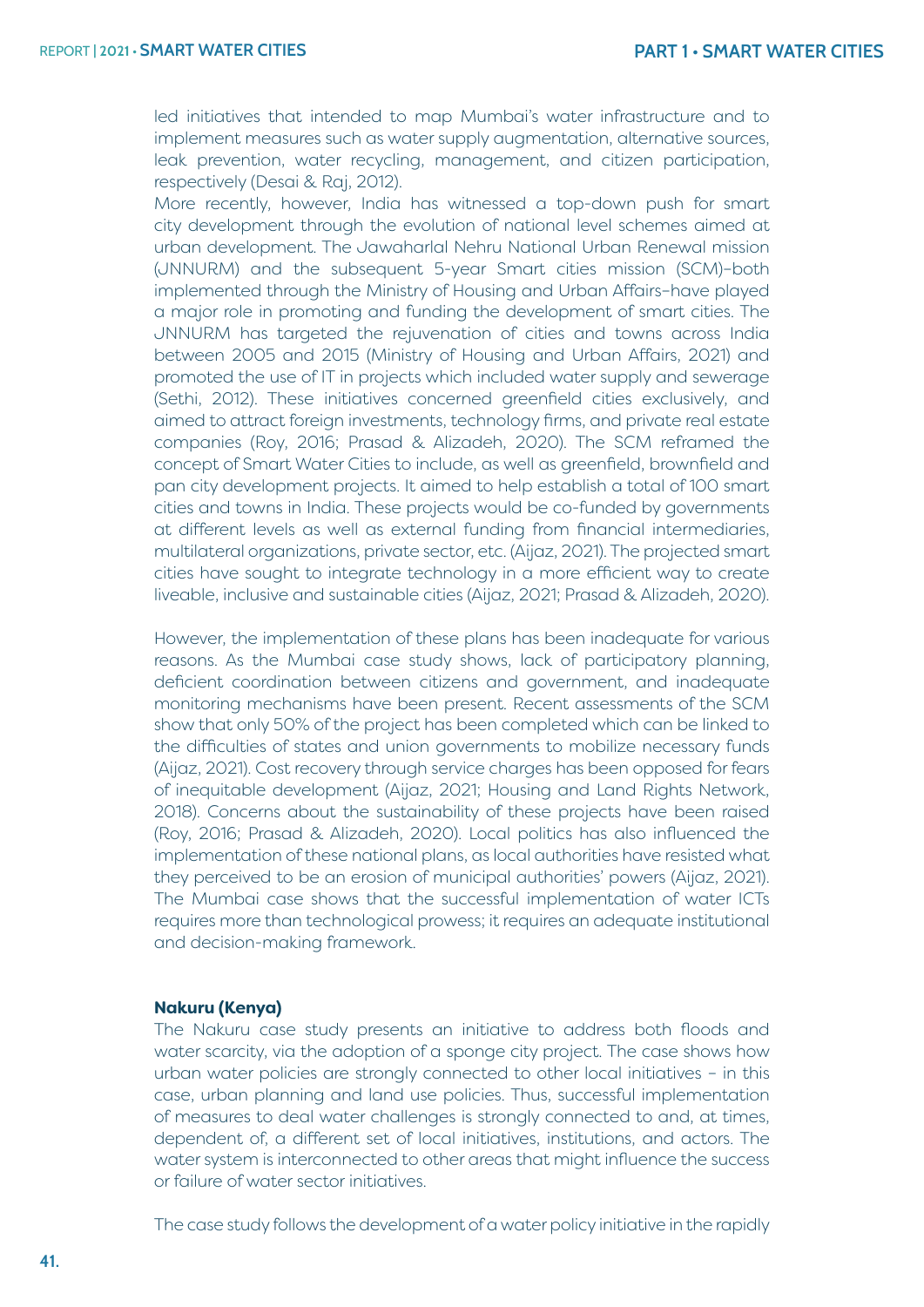led initiatives that intended to map Mumbai's water infrastructure and to implement measures such as water supply augmentation, alternative sources, leak prevention, water recycling, management, and citizen participation, respectively (Desai & Raj, 2012).

More recently, however, India has witnessed a top-down push for smart city development through the evolution of national level schemes aimed at urban development. The Jawaharlal Nehru National Urban Renewal mission (JNNURM) and the subsequent 5-year Smart cities mission (SCM)–both implemented through the Ministry of Housing and Urban Affairs–have played a major role in promoting and funding the development of smart cities. The JNNURM has targeted the rejuvenation of cities and towns across India between 2005 and 2015 (Ministry of Housing and Urban Affairs, 2021) and promoted the use of IT in projects which included water supply and sewerage (Sethi, 2012). These initiatives concerned greenfield cities exclusively, and aimed to attract foreign investments, technology firms, and private real estate companies (Roy, 2016; Prasad & Alizadeh, 2020). The SCM reframed the concept of Smart Water Cities to include, as well as greenfield, brownfield and pan city development projects. It aimed to help establish a total of 100 smart cities and towns in India. These projects would be co-funded by governments at different levels as well as external funding from financial intermediaries, multilateral organizations, private sector, etc. (Aijaz, 2021). The projected smart cities have sought to integrate technology in a more efficient way to create liveable, inclusive and sustainable cities (Aijaz, 2021; Prasad & Alizadeh, 2020).

However, the implementation of these plans has been inadequate for various reasons. As the Mumbai case study shows, lack of participatory planning, deficient coordination between citizens and government, and inadequate monitoring mechanisms have been present. Recent assessments of the SCM show that only 50% of the project has been completed which can be linked to the difficulties of states and union governments to mobilize necessary funds (Aijaz, 2021). Cost recovery through service charges has been opposed for fears of inequitable development (Aijaz, 2021; Housing and Land Rights Network, 2018). Concerns about the sustainability of these projects have been raised (Roy, 2016; Prasad & Alizadeh, 2020). Local politics has also influenced the implementation of these national plans, as local authorities have resisted what they perceived to be an erosion of municipal authorities' powers (Aijaz, 2021). The Mumbai case shows that the successful implementation of water ICTs requires more than technological prowess; it requires an adequate institutional and decision-making framework.

#### **Nakuru (Kenya)**

The Nakuru case study presents an initiative to address both floods and water scarcity, via the adoption of a sponge city project. The case shows how urban water policies are strongly connected to other local initiatives – in this case, urban planning and land use policies. Thus, successful implementation of measures to deal water challenges is strongly connected to and, at times, dependent of, a different set of local initiatives, institutions, and actors. The water system is interconnected to other areas that might influence the success or failure of water sector initiatives.

The case study follows the development of a water policy initiative in the rapidly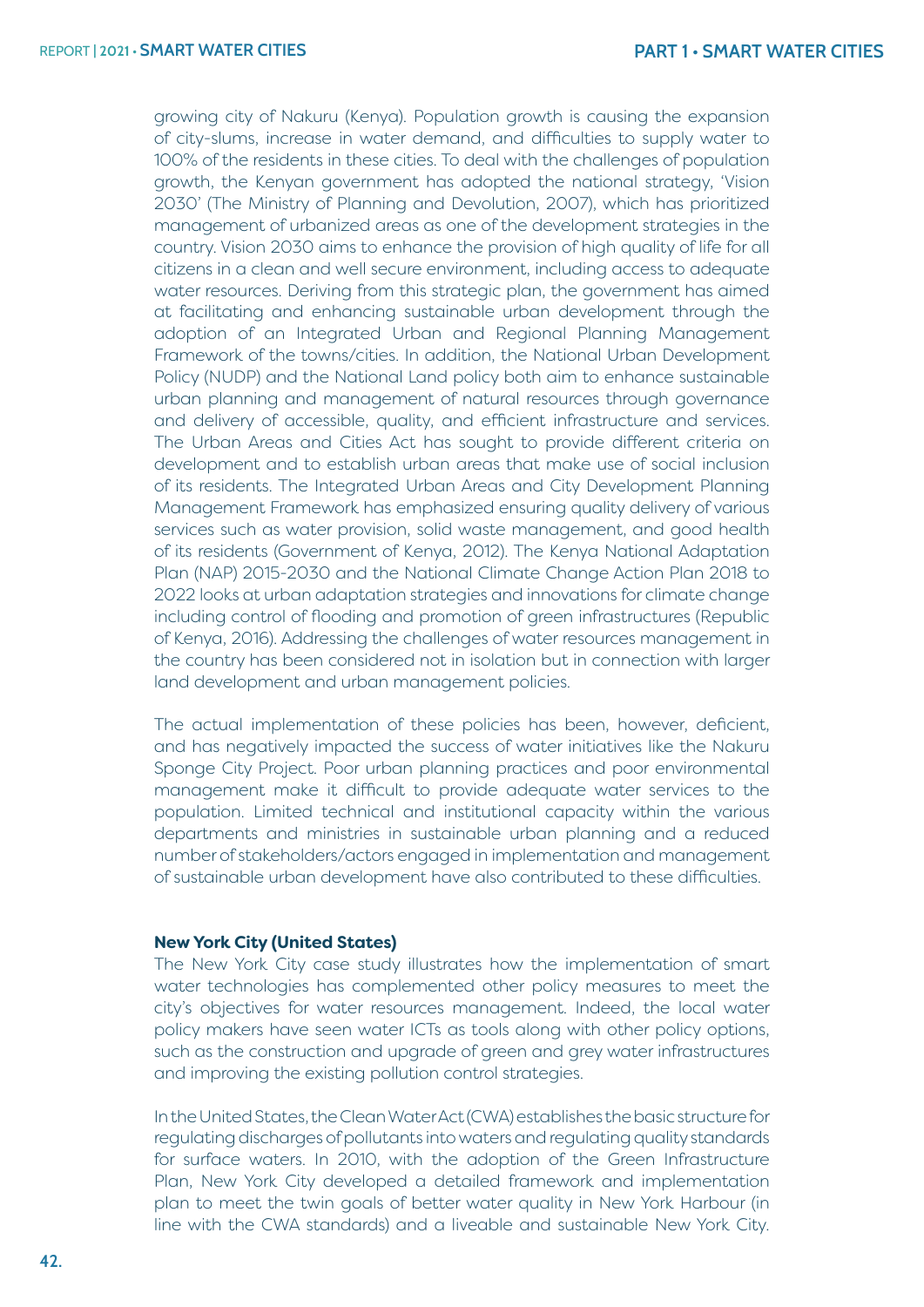growing city of Nakuru (Kenya). Population growth is causing the expansion of city-slums, increase in water demand, and difficulties to supply water to 100% of the residents in these cities. To deal with the challenges of population growth, the Kenyan government has adopted the national strategy, 'Vision 2030' (The Ministry of Planning and Devolution, 2007), which has prioritized management of urbanized areas as one of the development strategies in the country. Vision 2030 aims to enhance the provision of high quality of life for all citizens in a clean and well secure environment, including access to adequate water resources. Deriving from this strategic plan, the government has aimed at facilitating and enhancing sustainable urban development through the adoption of an Integrated Urban and Regional Planning Management Framework of the towns/cities. In addition, the National Urban Development Policy (NUDP) and the National Land policy both aim to enhance sustainable urban planning and management of natural resources through governance and delivery of accessible, quality, and efficient infrastructure and services. The Urban Areas and Cities Act has sought to provide different criteria on development and to establish urban areas that make use of social inclusion of its residents. The Integrated Urban Areas and City Development Planning Management Framework has emphasized ensuring quality delivery of various services such as water provision, solid waste management, and good health of its residents (Government of Kenya, 2012). The Kenya National Adaptation Plan (NAP) 2015-2030 and the National Climate Change Action Plan 2018 to 2022 looks at urban adaptation strategies and innovations for climate change including control of flooding and promotion of green infrastructures (Republic of Kenya, 2016). Addressing the challenges of water resources management in the country has been considered not in isolation but in connection with larger land development and urban management policies.

The actual implementation of these policies has been, however, deficient, and has negatively impacted the success of water initiatives like the Nakuru Sponge City Project. Poor urban planning practices and poor environmental management make it difficult to provide adequate water services to the population. Limited technical and institutional capacity within the various departments and ministries in sustainable urban planning and a reduced number of stakeholders/actors engaged in implementation and management of sustainable urban development have also contributed to these difficulties.

#### **New York City (United States)**

The New York City case study illustrates how the implementation of smart water technologies has complemented other policy measures to meet the city's objectives for water resources management. Indeed, the local water policy makers have seen water ICTs as tools along with other policy options, such as the construction and upgrade of green and grey water infrastructures and improving the existing pollution control strategies.

In the United States, the Clean Water Act (CWA) establishes the basic structure for regulating discharges of pollutants into waters and regulating quality standards for surface waters. In 2010, with the adoption of the Green Infrastructure Plan, New York City developed a detailed framework and implementation plan to meet the twin goals of better water quality in New York Harbour (in line with the CWA standards) and a liveable and sustainable New York City.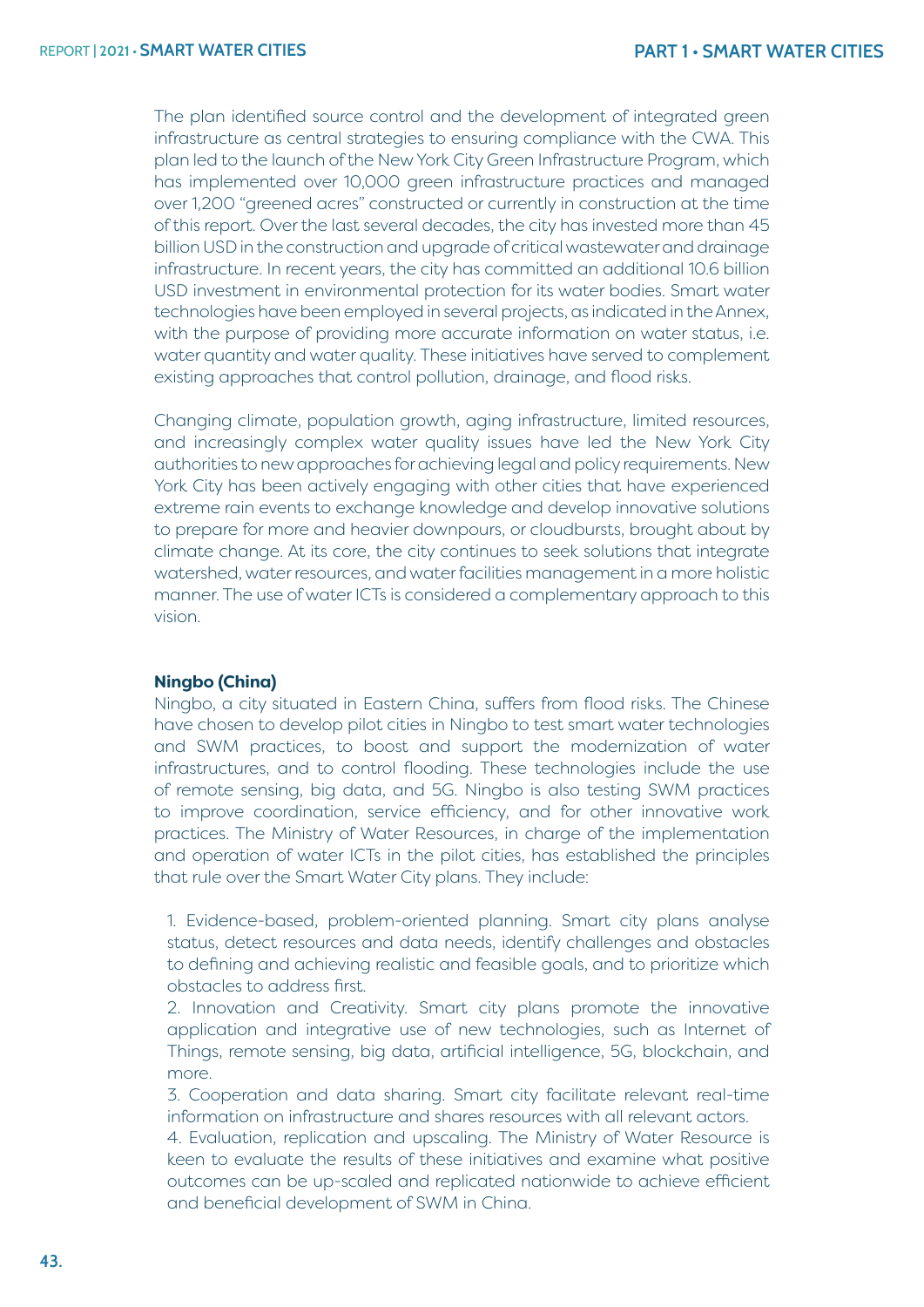The plan identified source control and the development of integrated green infrastructure as central strategies to ensuring compliance with the CWA. This plan led to the launch of the New York City Green Infrastructure Program, which has implemented over 10,000 green infrastructure practices and managed over 1,200 "greened acres" constructed or currently in construction at the time of this report. Over the last several decades, the city has invested more than 45 billion USD in the construction and upgrade of critical wastewater and drainage infrastructure. In recent years, the city has committed an additional 10.6 billion USD investment in environmental protection for its water bodies. Smart water technologies have been employed in several projects, as indicated in the Annex, with the purpose of providing more accurate information on water status, i.e. water quantity and water quality. These initiatives have served to complement existing approaches that control pollution, drainage, and flood risks.

Changing climate, population growth, aging infrastructure, limited resources, and increasingly complex water quality issues have led the New York City authorities to new approaches for achieving legal and policy requirements. New York City has been actively engaging with other cities that have experienced extreme rain events to exchange knowledge and develop innovative solutions to prepare for more and heavier downpours, or cloudbursts, brought about by climate change. At its core, the city continues to seek solutions that integrate watershed, water resources, and water facilities management in a more holistic manner. The use of water ICTs is considered a complementary approach to this vision.

#### **Ningbo (China)**

Ningbo, a city situated in Eastern China, suffers from flood risks. The Chinese have chosen to develop pilot cities in Ningbo to test smart water technologies and SWM practices, to boost and support the modernization of water infrastructures, and to control flooding. These technologies include the use of remote sensing, big data, and 5G. Ningbo is also testing SWM practices to improve coordination, service efficiency, and for other innovative work practices. The Ministry of Water Resources, in charge of the implementation and operation of water ICTs in the pilot cities, has established the principles that rule over the Smart Water City plans. They include:

1. Evidence-based, problem-oriented planning. Smart city plans analyse status, detect resources and data needs, identify challenges and obstacles to defining and achieving realistic and feasible goals, and to prioritize which obstacles to address first.

2. Innovation and Creativity. Smart city plans promote the innovative application and integrative use of new technologies, such as Internet of Things, remote sensing, big data, artificial intelligence, 5G, blockchain, and more.

3. Cooperation and data sharing. Smart city facilitate relevant real-time information on infrastructure and shares resources with all relevant actors.

4. Evaluation, replication and upscaling. The Ministry of Water Resource is keen to evaluate the results of these initiatives and examine what positive outcomes can be up-scaled and replicated nationwide to achieve efficient and beneficial development of SWM in China.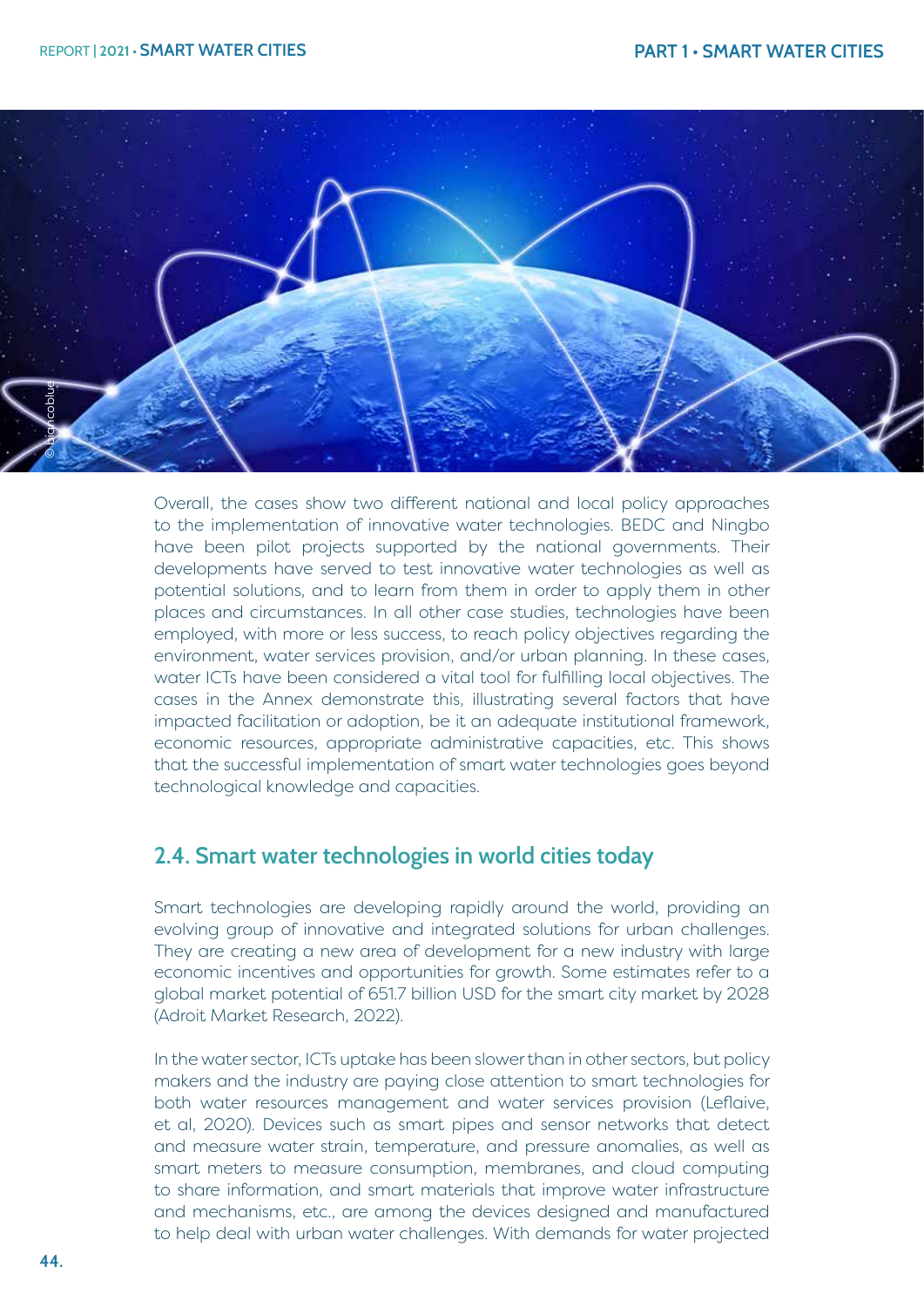

Overall, the cases show two different national and local policy approaches to the implementation of innovative water technologies. BEDC and Ningbo have been pilot projects supported by the national governments. Their developments have served to test innovative water technologies as well as potential solutions, and to learn from them in order to apply them in other places and circumstances. In all other case studies, technologies have been employed, with more or less success, to reach policy objectives regarding the environment, water services provision, and/or urban planning. In these cases, water ICTs have been considered a vital tool for fulfilling local objectives. The cases in the Annex demonstrate this, illustrating several factors that have impacted facilitation or adoption, be it an adequate institutional framework, economic resources, appropriate administrative capacities, etc. This shows that the successful implementation of smart water technologies goes beyond technological knowledge and capacities.

## **2.4. Smart water technologies in world cities today**

Smart technologies are developing rapidly around the world, providing an evolving group of innovative and integrated solutions for urban challenges. They are creating a new area of development for a new industry with large economic incentives and opportunities for growth. Some estimates refer to a global market potential of 651.7 billion USD for the smart city market by 2028 (Adroit Market Research, 2022).

In the water sector, ICTs uptake has been slower than in other sectors, but policy makers and the industry are paying close attention to smart technologies for both water resources management and water services provision (Leflaive, et al, 2020). Devices such as smart pipes and sensor networks that detect and measure water strain, temperature, and pressure anomalies, as well as smart meters to measure consumption, membranes, and cloud computing to share information, and smart materials that improve water infrastructure and mechanisms, etc., are among the devices designed and manufactured to help deal with urban water challenges. With demands for water projected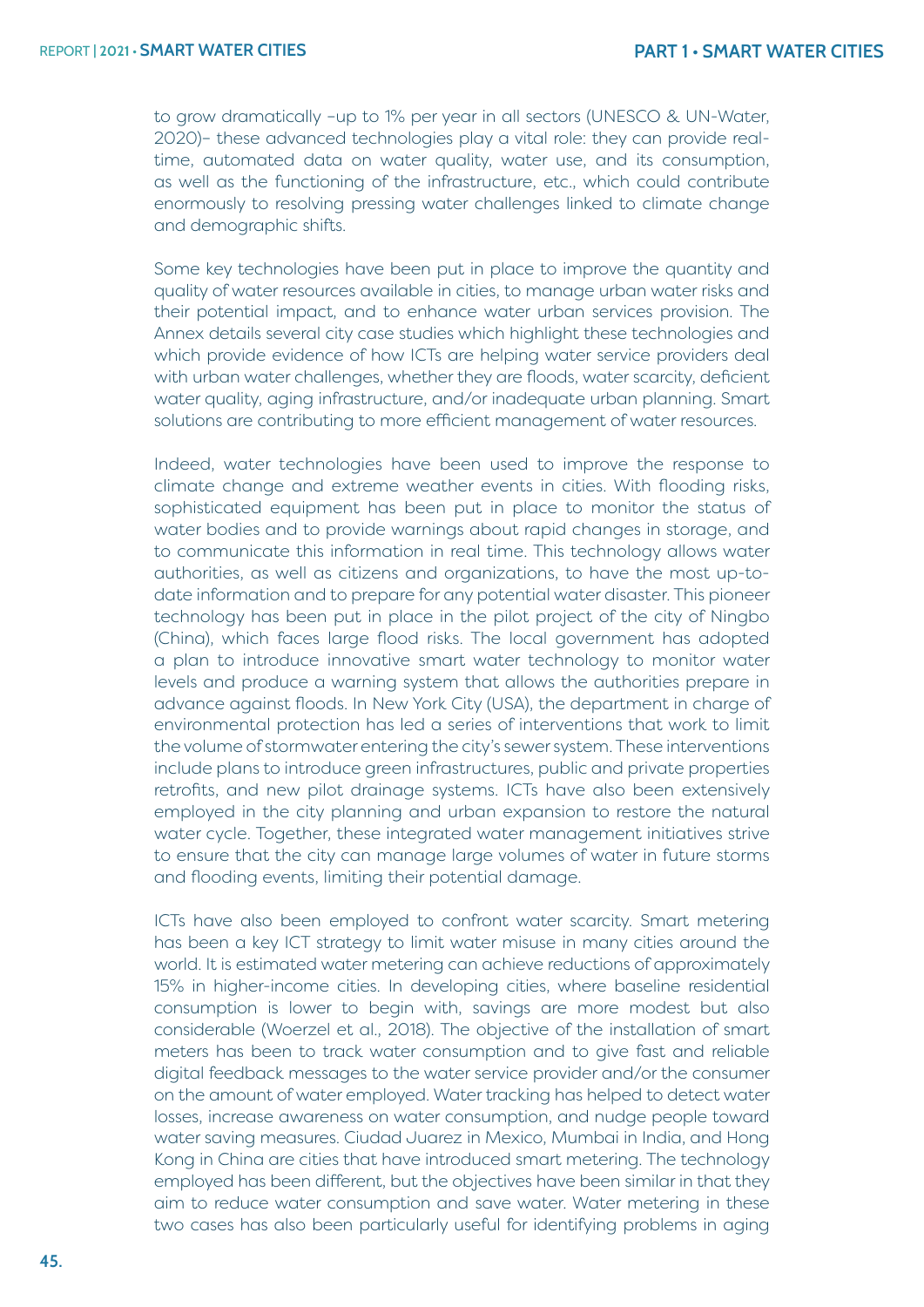to grow dramatically –up to 1% per year in all sectors (UNESCO & UN-Water, 2020)– these advanced technologies play a vital role: they can provide realtime, automated data on water quality, water use, and its consumption, as well as the functioning of the infrastructure, etc., which could contribute enormously to resolving pressing water challenges linked to climate change and demographic shifts.

Some key technologies have been put in place to improve the quantity and quality of water resources available in cities, to manage urban water risks and their potential impact, and to enhance water urban services provision. The Annex details several city case studies which highlight these technologies and which provide evidence of how ICTs are helping water service providers deal with urban water challenges, whether they are floods, water scarcity, deficient water quality, aging infrastructure, and/or inadequate urban planning. Smart solutions are contributing to more efficient management of water resources.

Indeed, water technologies have been used to improve the response to climate change and extreme weather events in cities. With flooding risks, sophisticated equipment has been put in place to monitor the status of water bodies and to provide warnings about rapid changes in storage, and to communicate this information in real time. This technology allows water authorities, as well as citizens and organizations, to have the most up-todate information and to prepare for any potential water disaster. This pioneer technology has been put in place in the pilot project of the city of Ningbo (China), which faces large flood risks. The local government has adopted a plan to introduce innovative smart water technology to monitor water levels and produce a warning system that allows the authorities prepare in advance against floods. In New York City (USA), the department in charge of environmental protection has led a series of interventions that work to limit the volume of stormwater entering the city's sewer system. These interventions include plans to introduce green infrastructures, public and private properties retrofits, and new pilot drainage systems. ICTs have also been extensively employed in the city planning and urban expansion to restore the natural water cycle. Together, these integrated water management initiatives strive to ensure that the city can manage large volumes of water in future storms and flooding events, limiting their potential damage.

ICTs have also been employed to confront water scarcity. Smart metering has been a key ICT strategy to limit water misuse in many cities around the world. It is estimated water metering can achieve reductions of approximately 15% in higher-income cities. In developing cities, where baseline residential consumption is lower to begin with, savings are more modest but also considerable (Woerzel et al., 2018). The objective of the installation of smart meters has been to track water consumption and to give fast and reliable digital feedback messages to the water service provider and/or the consumer on the amount of water employed. Water tracking has helped to detect water losses, increase awareness on water consumption, and nudge people toward water saving measures. Ciudad Juarez in Mexico, Mumbai in India, and Hong Kong in China are cities that have introduced smart metering. The technology employed has been different, but the objectives have been similar in that they aim to reduce water consumption and save water. Water metering in these two cases has also been particularly useful for identifying problems in aging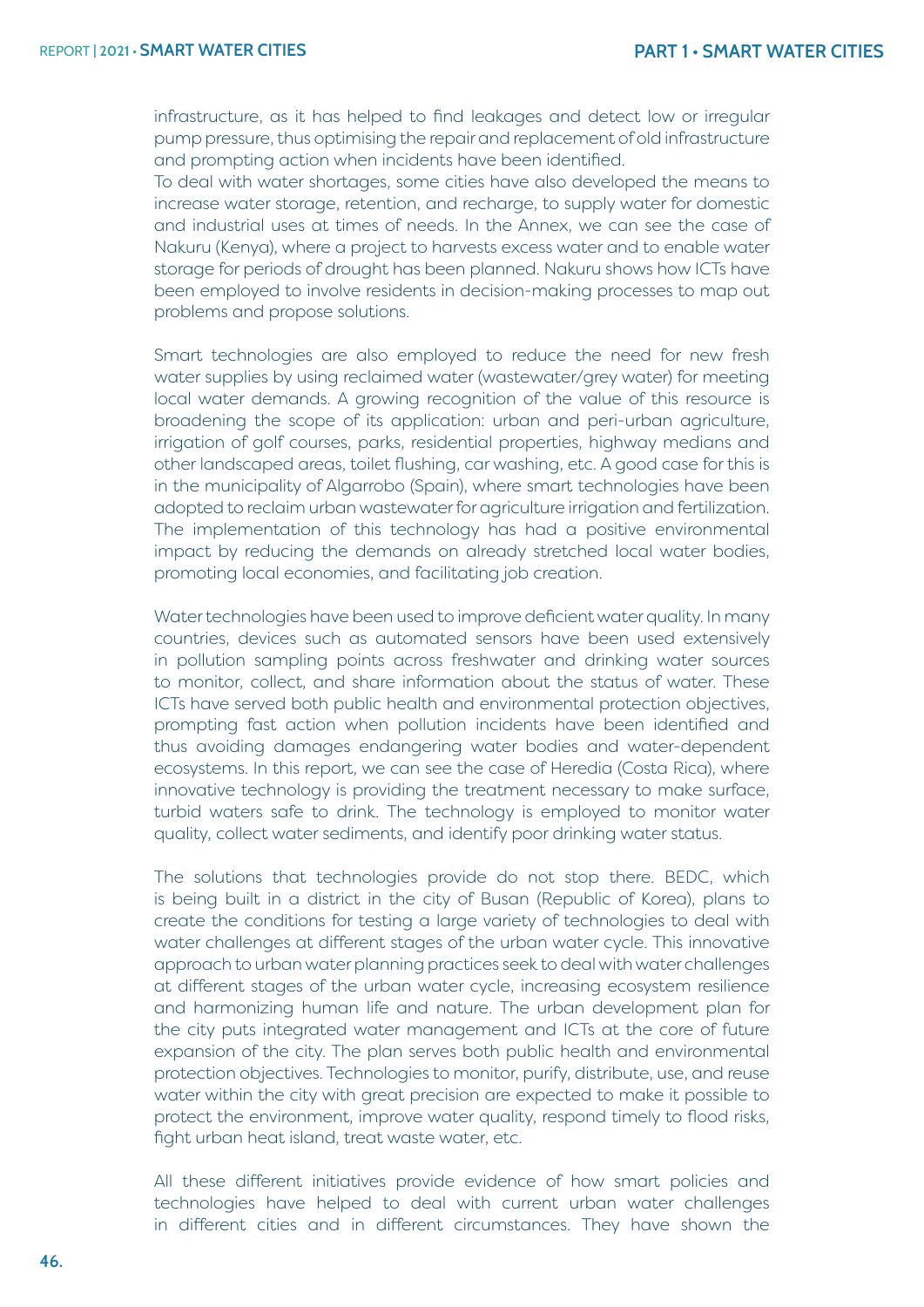infrastructure, as it has helped to find leakages and detect low or irregular pump pressure, thus optimising the repair and replacement of old infrastructure and prompting action when incidents have been identified.

To deal with water shortages, some cities have also developed the means to increase water storage, retention, and recharge, to supply water for domestic and industrial uses at times of needs. In the Annex, we can see the case of Nakuru (Kenya), where a project to harvests excess water and to enable water storage for periods of drought has been planned. Nakuru shows how ICTs have been employed to involve residents in decision-making processes to map out problems and propose solutions.

Smart technologies are also employed to reduce the need for new fresh water supplies by using reclaimed water (wastewater/grey water) for meeting local water demands. A growing recognition of the value of this resource is broadening the scope of its application: urban and peri-urban agriculture, irrigation of golf courses, parks, residential properties, highway medians and other landscaped areas, toilet flushing, car washing, etc. A good case for this is in the municipality of Algarrobo (Spain), where smart technologies have been adopted to reclaim urban wastewater for agriculture irrigation and fertilization. The implementation of this technology has had a positive environmental impact by reducing the demands on already stretched local water bodies, promoting local economies, and facilitating job creation.

Water technologies have been used to improve deficient water quality. In many countries, devices such as automated sensors have been used extensively in pollution sampling points across freshwater and drinking water sources to monitor, collect, and share information about the status of water. These ICTs have served both public health and environmental protection objectives, prompting fast action when pollution incidents have been identified and thus avoiding damages endangering water bodies and water-dependent ecosystems. In this report, we can see the case of Heredia (Costa Rica), where innovative technology is providing the treatment necessary to make surface, turbid waters safe to drink. The technology is employed to monitor water quality, collect water sediments, and identify poor drinking water status.

The solutions that technologies provide do not stop there. BEDC, which is being built in a district in the city of Busan (Republic of Korea), plans to create the conditions for testing a large variety of technologies to deal with water challenges at different stages of the urban water cycle. This innovative approach to urban water planning practices seek to deal with water challenges at different stages of the urban water cycle, increasing ecosystem resilience and harmonizing human life and nature. The urban development plan for the city puts integrated water management and ICTs at the core of future expansion of the city. The plan serves both public health and environmental protection objectives. Technologies to monitor, purify, distribute, use, and reuse water within the city with great precision are expected to make it possible to protect the environment, improve water quality, respond timely to flood risks, fight urban heat island, treat waste water, etc.

All these different initiatives provide evidence of how smart policies and technologies have helped to deal with current urban water challenges in different cities and in different circumstances. They have shown the